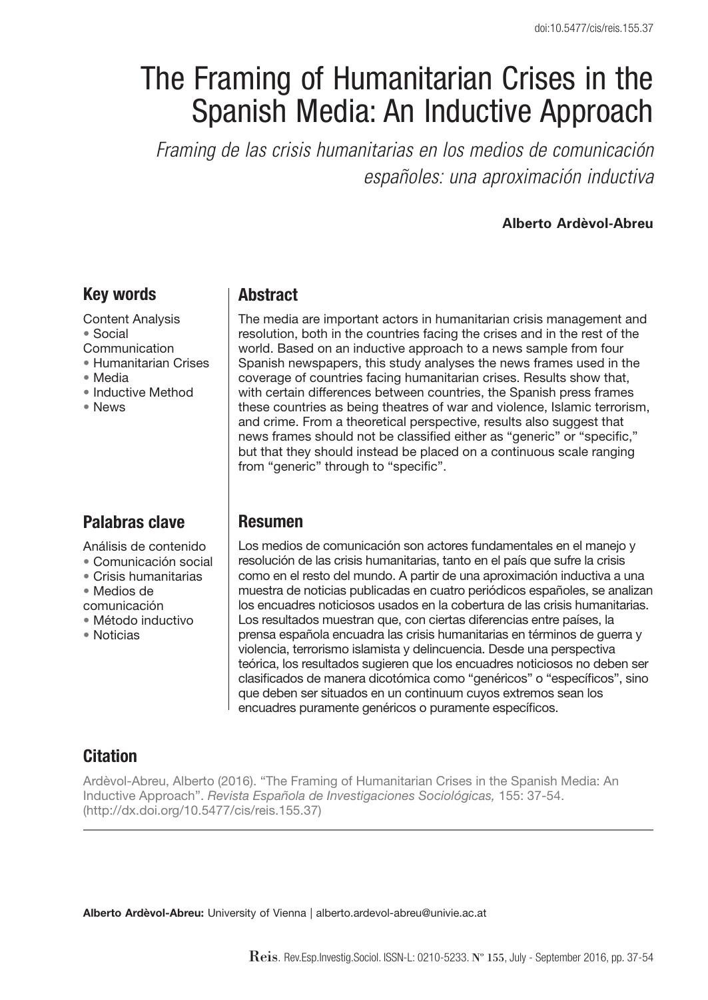# The Framing of Humanitarian Crises in the Spanish Media: An Inductive Approach

*Framing de las crisis humanitarias en los medios de comunicación españoles: una aproximación inductiva*

#### **Alberto Ardèvol-Abreu**

# Key words

Content Analysis • Social Communication • Humanitarian Crises

- Media
- Inductive Method
- News

# Palabras clave

Análisis de contenido

• Comunicación social

- Crisis humanitarias
- Medios de
- comunicación
- Método inductivo
- Noticias

# **Abstract**

The media are important actors in humanitarian crisis management and resolution, both in the countries facing the crises and in the rest of the world. Based on an inductive approach to a news sample from four Spanish newspapers, this study analyses the news frames used in the coverage of countries facing humanitarian crises. Results show that, with certain differences between countries, the Spanish press frames these countries as being theatres of war and violence, Islamic terrorism, and crime. From a theoretical perspective, results also suggest that news frames should not be classified either as "generic" or "specific," but that they should instead be placed on a continuous scale ranging from "generic" through to "specific".

### Resumen

Los medios de comunicación son actores fundamentales en el manejo y resolución de las crisis humanitarias, tanto en el país que sufre la crisis como en el resto del mundo. A partir de una aproximación inductiva a una muestra de noticias publicadas en cuatro periódicos españoles, se analizan los encuadres noticiosos usados en la cobertura de las crisis humanitarias. Los resultados muestran que, con ciertas diferencias entre países, la prensa española encuadra las crisis humanitarias en términos de guerra y violencia, terrorismo islamista y delincuencia. Desde una perspectiva teórica, los resultados sugieren que los encuadres noticiosos no deben ser clasificados de manera dicotómica como "genéricos" o "específicos", sino que deben ser situados en un continuum cuyos extremos sean los encuadres puramente genéricos o puramente específicos.

# **Citation**

Ardèvol-Abreu, Alberto (2016). "The Framing of Humanitarian Crises in the Spanish Media: An Inductive Approach". *Revista Española de Investigaciones Sociológicas,* 155: 37-54. (http://dx.doi.org/10.5477/cis/reis.155.37)

Alberto Ardèvol-Abreu: University of Vienna | alberto.ardevol-abreu@univie.ac.at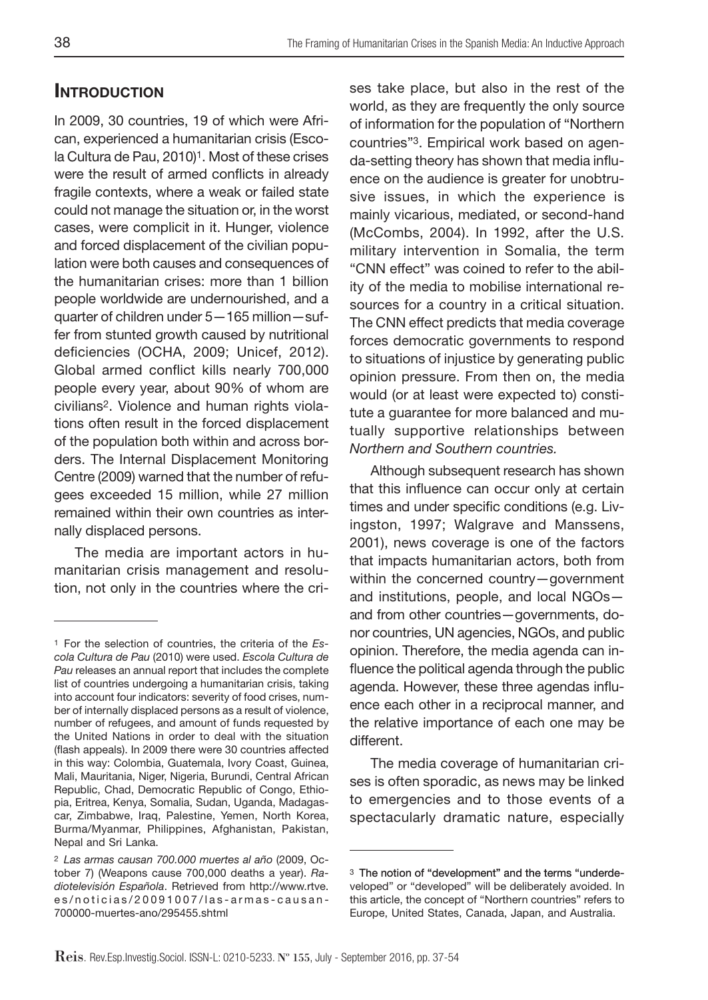# **INTRODUCTION**

In 2009, 30 countries, 19 of which were African, experienced a humanitarian crisis (Escola Cultura de Pau, 2010)<sup>1</sup>. Most of these crises were the result of armed conflicts in already fragile contexts, where a weak or failed state could not manage the situation or, in the worst cases, were complicit in it. Hunger, violence and forced displacement of the civilian population were both causes and consequences of the humanitarian crises: more than 1 billion people worldwide are undernourished, and a quarter of children under 5—165 million—suffer from stunted growth caused by nutritional deficiencies (OCHA, 2009; Unicef, 2012). Global armed conflict kills nearly 700,000 people every year, about 90% of whom are civilians2. Violence and human rights violations often result in the forced displacement of the population both within and across borders. The Internal Displacement Monitoring Centre (2009) warned that the number of refugees exceeded 15 million, while 27 million remained within their own countries as internally displaced persons.

The media are important actors in humanitarian crisis management and resolution, not only in the countries where the crises take place, but also in the rest of the world, as they are frequently the only source of information for the population of "Northern countries"3. Empirical work based on agenda-setting theory has shown that media influence on the audience is greater for unobtrusive issues, in which the experience is mainly vicarious, mediated, or second-hand (McCombs, 2004). In 1992, after the U.S. military intervention in Somalia, the term "CNN effect" was coined to refer to the ability of the media to mobilise international resources for a country in a critical situation. The CNN effect predicts that media coverage forces democratic governments to respond to situations of injustice by generating public opinion pressure. From then on, the media would (or at least were expected to) constitute a guarantee for more balanced and mutually supportive relationships between *Northern and Southern countries.*

Although subsequent research has shown that this influence can occur only at certain times and under specific conditions (e.g. Livingston, 1997; Walgrave and Manssens, 2001), news coverage is one of the factors that impacts humanitarian actors, both from within the concerned country—government and institutions, people, and local NGOs and from other countries—governments, donor countries, UN agencies, NGOs, and public opinion. Therefore, the media agenda can influence the political agenda through the public agenda. However, these three agendas influence each other in a reciprocal manner, and the relative importance of each one may be different.

The media coverage of humanitarian crises is often sporadic, as news may be linked to emergencies and to those events of a spectacularly dramatic nature, especially

<sup>1</sup> For the selection of countries, the criteria of the *Escola Cultura de Pau* (2010) were used. *Escola Cultura de Pau* releases an annual report that includes the complete list of countries undergoing a humanitarian crisis, taking into account four indicators: severity of food crises, number of internally displaced persons as a result of violence, number of refugees, and amount of funds requested by the United Nations in order to deal with the situation (flash appeals). In 2009 there were 30 countries affected in this way: Colombia, Guatemala, Ivory Coast, Guinea, Mali, Mauritania, Niger, Nigeria, Burundi, Central African Republic, Chad, Democratic Republic of Congo, Ethiopia, Eritrea, Kenya, Somalia, Sudan, Uganda, Madagascar, Zimbabwe, Iraq, Palestine, Yemen, North Korea, Burma/Myanmar, Philippines, Afghanistan, Pakistan, Nepal and Sri Lanka.

<sup>2</sup> *Las armas causan 700.000 muertes al año* (2009, October 7) (Weapons cause 700,000 deaths a year). *Radiotelevisión Española*. Retrieved from http://www.rtve. es/noticias/20091007/las-armas-causan-700000-muertes-ano/295455.shtml

<sup>&</sup>lt;sup>3</sup> The notion of "development" and the terms "underdeveloped" or "developed" will be deliberately avoided. In this article, the concept of "Northern countries" refers to Europe, United States, Canada, Japan, and Australia.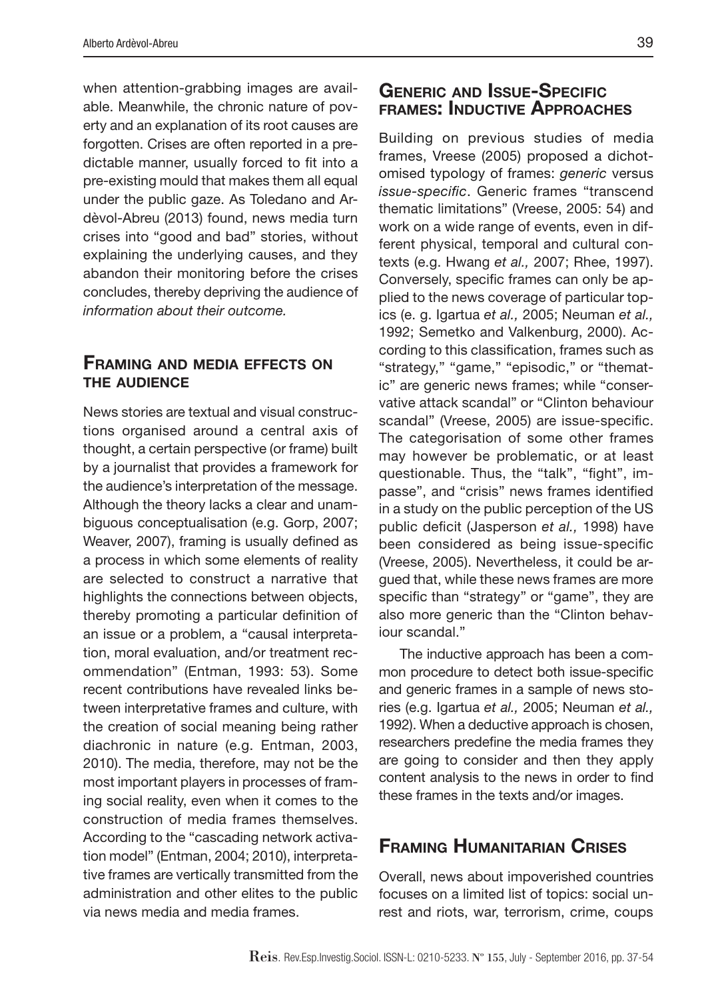when attention-grabbing images are available. Meanwhile, the chronic nature of poverty and an explanation of its root causes are forgotten. Crises are often reported in a predictable manner, usually forced to fit into a pre-existing mould that makes them all equal under the public gaze. As Toledano and Ardèvol-Abreu (2013) found, news media turn crises into "good and bad" stories, without explaining the underlying causes, and they abandon their monitoring before the crises concludes, thereby depriving the audience of *information about their outcome.*

# Framing and media effects on the audience

News stories are textual and visual constructions organised around a central axis of thought, a certain perspective (or frame) built by a journalist that provides a framework for the audience's interpretation of the message. Although the theory lacks a clear and unambiguous conceptualisation (e.g. Gorp, 2007; Weaver, 2007), framing is usually defined as a process in which some elements of reality are selected to construct a narrative that highlights the connections between objects, thereby promoting a particular definition of an issue or a problem, a "causal interpretation, moral evaluation, and/or treatment recommendation" (Entman, 1993: 53). Some recent contributions have revealed links between interpretative frames and culture, with the creation of social meaning being rather diachronic in nature (e.g. Entman, 2003, 2010). The media, therefore, may not be the most important players in processes of framing social reality, even when it comes to the construction of media frames themselves. According to the "cascading network activation model" (Entman, 2004; 2010), interpretative frames are vertically transmitted from the administration and other elites to the public via news media and media frames.

# Generic and Issue-Specific frames: Inductive Approaches

Building on previous studies of media frames, Vreese (2005) proposed a dichotomised typology of frames: *generic* versus *issue-specific*. Generic frames "transcend thematic limitations" (Vreese, 2005: 54) and work on a wide range of events, even in different physical, temporal and cultural contexts (e.g. Hwang *et al.,* 2007; Rhee, 1997). Conversely, specific frames can only be applied to the news coverage of particular topics (e. g. Igartua *et al.,* 2005; Neuman *et al.,*  1992; Semetko and Valkenburg, 2000). According to this classification, frames such as "strategy," "game," "episodic," or "thematic" are generic news frames; while "conservative attack scandal" or "Clinton behaviour scandal" (Vreese, 2005) are issue-specific. The categorisation of some other frames may however be problematic, or at least questionable. Thus, the "talk", "fight", impasse", and "crisis" news frames identified in a study on the public perception of the US public deficit (Jasperson *et al.,* 1998) have been considered as being issue-specific (Vreese, 2005). Nevertheless, it could be argued that, while these news frames are more specific than "strategy" or "game", they are also more generic than the "Clinton behaviour scandal."

The inductive approach has been a common procedure to detect both issue-specific and generic frames in a sample of news stories (e.g. Igartua *et al.,* 2005; Neuman *et al.,*  1992). When a deductive approach is chosen, researchers predefine the media frames they are going to consider and then they apply content analysis to the news in order to find these frames in the texts and/or images.

# Framing Humanitarian Crises

Overall, news about impoverished countries focuses on a limited list of topics: social unrest and riots, war, terrorism, crime, coups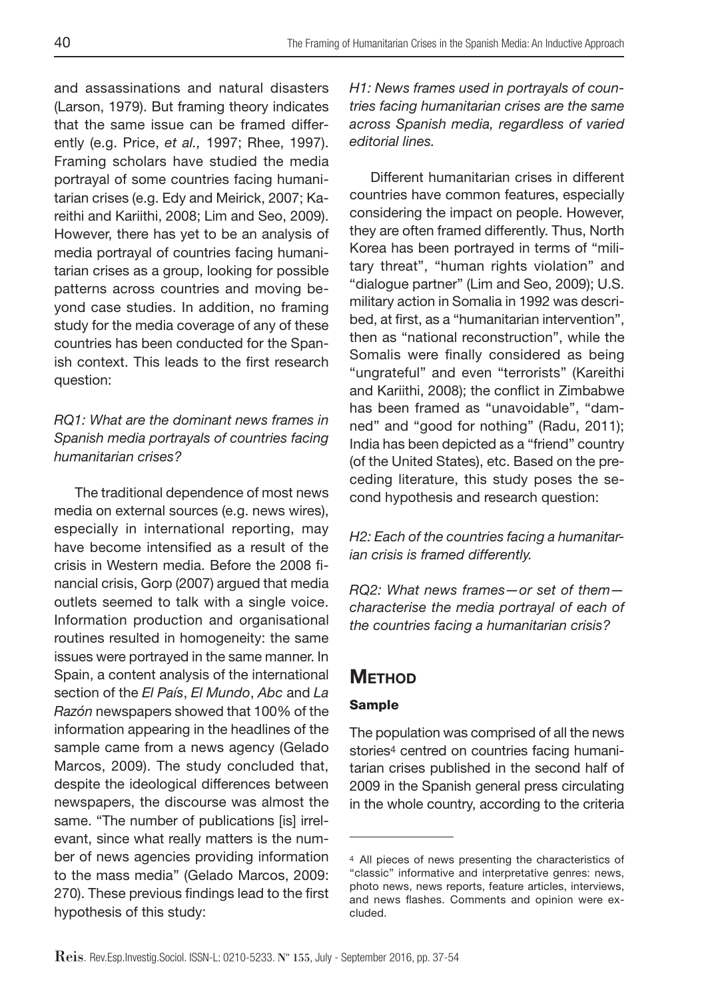and assassinations and natural disasters (Larson, 1979). But framing theory indicates that the same issue can be framed differently (e.g. Price, *et al.,* 1997; Rhee, 1997). Framing scholars have studied the media portrayal of some countries facing humanitarian crises (e.g. Edy and Meirick, 2007; Kareithi and Kariithi, 2008; Lim and Seo, 2009). However, there has yet to be an analysis of media portrayal of countries facing humanitarian crises as a group, looking for possible patterns across countries and moving beyond case studies. In addition, no framing study for the media coverage of any of these countries has been conducted for the Spanish context. This leads to the first research question:

# *RQ1: What are the dominant news frames in Spanish media portrayals of countries facing humanitarian crises?*

The traditional dependence of most news media on external sources (e.g. news wires), especially in international reporting, may have become intensified as a result of the crisis in Western media. Before the 2008 financial crisis, Gorp (2007) argued that media outlets seemed to talk with a single voice. Information production and organisational routines resulted in homogeneity: the same issues were portrayed in the same manner. In Spain, a content analysis of the international section of the *El País*, *El Mundo*, *Abc* and *La Razón* newspapers showed that 100% of the information appearing in the headlines of the sample came from a news agency (Gelado Marcos, 2009). The study concluded that, despite the ideological differences between newspapers, the discourse was almost the same. "The number of publications [is] irrelevant, since what really matters is the number of news agencies providing information to the mass media" (Gelado Marcos, 2009: 270). These previous findings lead to the first hypothesis of this study:

*H1: News frames used in portrayals of countries facing humanitarian crises are the same across Spanish media, regardless of varied editorial lines.* 

Different humanitarian crises in different countries have common features, especially considering the impact on people. However, they are often framed differently. Thus, North Korea has been portrayed in terms of "military threat", "human rights violation" and "dialogue partner" (Lim and Seo, 2009); U.S. military action in Somalia in 1992 was described, at first, as a "humanitarian intervention", then as "national reconstruction", while the Somalis were finally considered as being "ungrateful" and even "terrorists" (Kareithi and Kariithi, 2008); the conflict in Zimbabwe has been framed as "unavoidable", "damned" and "good for nothing" (Radu, 2011); India has been depicted as a "friend" country (of the United States), etc. Based on the preceding literature, this study poses the second hypothesis and research question:

*H2: Each of the countries facing a humanitarian crisis is framed differently.*

*RQ2: What news frames—or set of them characterise the media portrayal of each of the countries facing a humanitarian crisis?*

# **METHOD**

# Sample

The population was comprised of all the news stories<sup>4</sup> centred on countries facing humanitarian crises published in the second half of 2009 in the Spanish general press circulating in the whole country, according to the criteria

<sup>4</sup> All pieces of news presenting the characteristics of "classic" informative and interpretative genres: news, photo news, news reports, feature articles, interviews, and news flashes. Comments and opinion were excluded.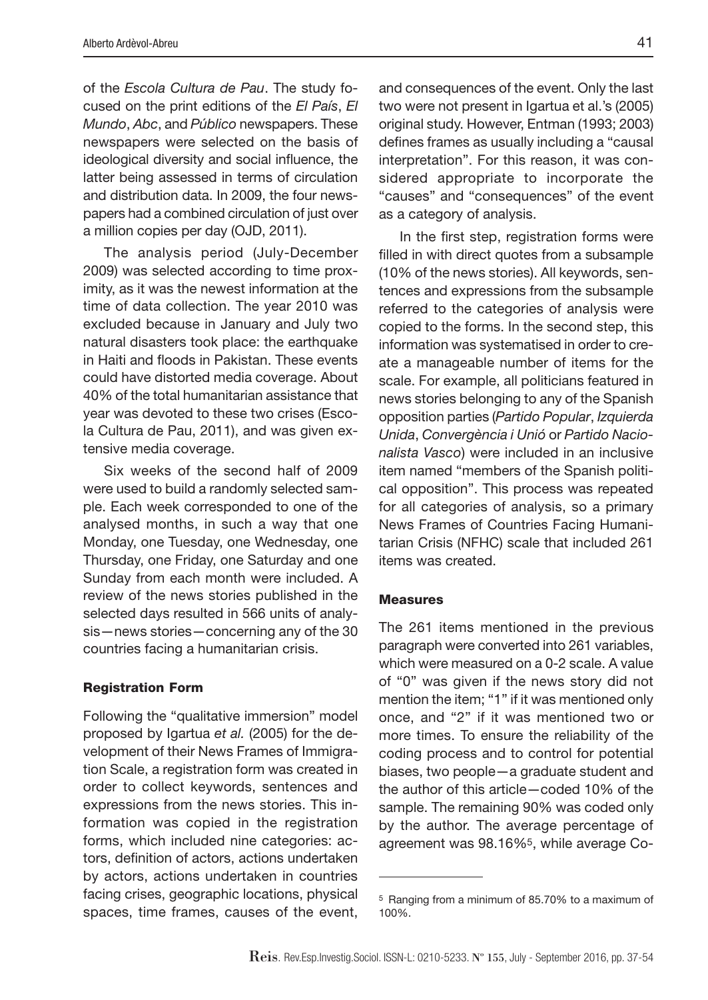of the *Escola Cultura de Pau*. The study focused on the print editions of the *El País*, *El Mundo*, *Abc*, and *Público* newspapers. These newspapers were selected on the basis of ideological diversity and social influence, the latter being assessed in terms of circulation and distribution data. In 2009, the four newspapers had a combined circulation of just over a million copies per day (OJD, 2011).

The analysis period (July-December 2009) was selected according to time proximity, as it was the newest information at the time of data collection. The year 2010 was excluded because in January and July two natural disasters took place: the earthquake in Haiti and floods in Pakistan. These events could have distorted media coverage. About 40% of the total humanitarian assistance that year was devoted to these two crises (Escola Cultura de Pau, 2011), and was given extensive media coverage.

Six weeks of the second half of 2009 were used to build a randomly selected sample. Each week corresponded to one of the analysed months, in such a way that one Monday, one Tuesday, one Wednesday, one Thursday, one Friday, one Saturday and one Sunday from each month were included. A review of the news stories published in the selected days resulted in 566 units of analysis—news stories—concerning any of the 30 countries facing a humanitarian crisis.

#### Registration Form

Following the "qualitative immersion" model proposed by Igartua *et al.* (2005) for the development of their News Frames of Immigration Scale, a registration form was created in order to collect keywords, sentences and expressions from the news stories. This information was copied in the registration forms, which included nine categories: actors, definition of actors, actions undertaken by actors, actions undertaken in countries facing crises, geographic locations, physical spaces, time frames, causes of the event,

and consequences of the event. Only the last two were not present in Igartua et al.'s (2005) original study. However, Entman (1993; 2003) defines frames as usually including a "causal interpretation". For this reason, it was considered appropriate to incorporate the "causes" and "consequences" of the event as a category of analysis.

In the first step, registration forms were filled in with direct quotes from a subsample (10% of the news stories). All keywords, sentences and expressions from the subsample referred to the categories of analysis were copied to the forms. In the second step, this information was systematised in order to create a manageable number of items for the scale. For example, all politicians featured in news stories belonging to any of the Spanish opposition parties (*Partido Popular*, *Izquierda Unida*, *Convergència i Unió* or *Partido Nacionalista Vasco*) were included in an inclusive item named "members of the Spanish political opposition". This process was repeated for all categories of analysis, so a primary News Frames of Countries Facing Humanitarian Crisis (NFHC) scale that included 261 items was created.

#### Measures

The 261 items mentioned in the previous paragraph were converted into 261 variables, which were measured on a 0-2 scale. A value of "0" was given if the news story did not mention the item; "1" if it was mentioned only once, and "2" if it was mentioned two or more times. To ensure the reliability of the coding process and to control for potential biases, two people—a graduate student and the author of this article—coded 10% of the sample. The remaining 90% was coded only by the author. The average percentage of agreement was 98.16%5, while average Co-

<sup>5</sup> Ranging from a minimum of 85.70% to a maximum of 100%.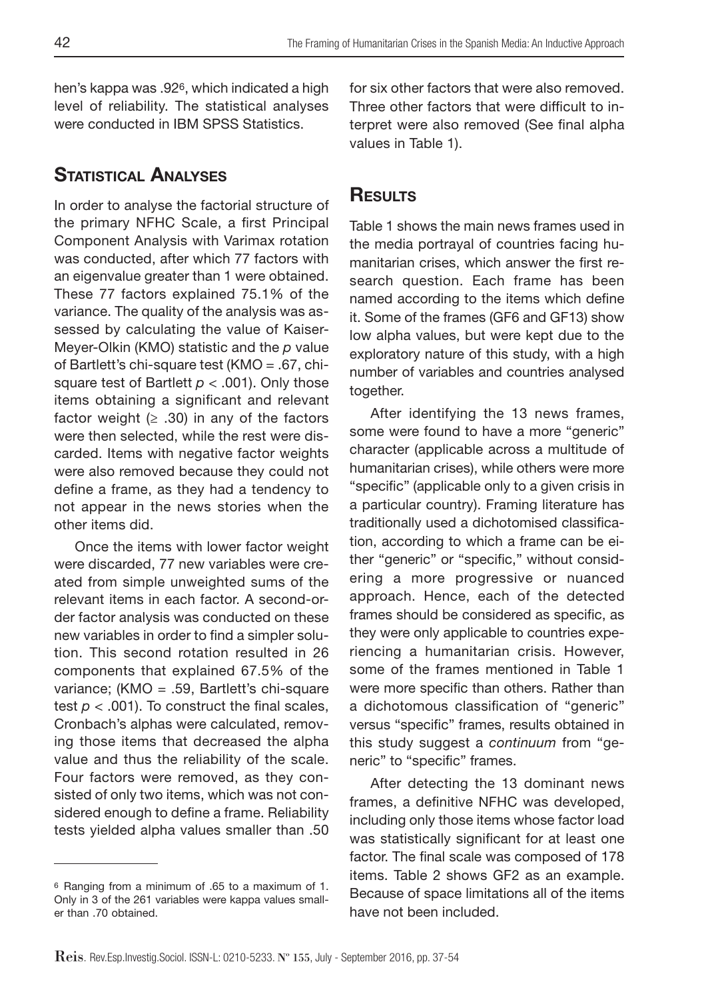hen's kappa was .926, which indicated a high level of reliability. The statistical analyses were conducted in IBM SPSS Statistics.

# STATISTICAL ANALYSES

In order to analyse the factorial structure of the primary NFHC Scale, a first Principal Component Analysis with Varimax rotation was conducted, after which 77 factors with an eigenvalue greater than 1 were obtained. These 77 factors explained 75.1% of the variance. The quality of the analysis was assessed by calculating the value of Kaiser-Meyer-Olkin (KMO) statistic and the *p* value of Bartlett's chi-square test (KMO = .67, chisquare test of Bartlett  $p < .001$ ). Only those items obtaining a significant and relevant factor weight  $(≥ .30)$  in any of the factors were then selected, while the rest were discarded. Items with negative factor weights were also removed because they could not define a frame, as they had a tendency to not appear in the news stories when the other items did.

Once the items with lower factor weight were discarded, 77 new variables were created from simple unweighted sums of the relevant items in each factor. A second-order factor analysis was conducted on these new variables in order to find a simpler solution. This second rotation resulted in 26 components that explained 67.5% of the variance; (KMO = .59, Bartlett's chi-square test  $p < .001$ ). To construct the final scales, Cronbach's alphas were calculated, removing those items that decreased the alpha value and thus the reliability of the scale. Four factors were removed, as they consisted of only two items, which was not considered enough to define a frame. Reliability tests yielded alpha values smaller than .50

for six other factors that were also removed. Three other factors that were difficult to interpret were also removed (See final alpha values in Table 1).

# **RESULTS**

Table 1 shows the main news frames used in the media portrayal of countries facing humanitarian crises, which answer the first research question. Each frame has been named according to the items which define it. Some of the frames (GF6 and GF13) show low alpha values, but were kept due to the exploratory nature of this study, with a high number of variables and countries analysed together.

After identifying the 13 news frames, some were found to have a more "generic" character (applicable across a multitude of humanitarian crises), while others were more "specific" (applicable only to a given crisis in a particular country). Framing literature has traditionally used a dichotomised classification, according to which a frame can be either "generic" or "specific," without considering a more progressive or nuanced approach. Hence, each of the detected frames should be considered as specific, as they were only applicable to countries experiencing a humanitarian crisis. However, some of the frames mentioned in Table 1 were more specific than others. Rather than a dichotomous classification of "generic" versus "specific" frames, results obtained in this study suggest a *continuum* from "generic" to "specific" frames.

After detecting the 13 dominant news frames, a definitive NFHC was developed, including only those items whose factor load was statistically significant for at least one factor. The final scale was composed of 178 items. Table 2 shows GF2 as an example. Because of space limitations all of the items have not been included.

<sup>6</sup> Ranging from a minimum of .65 to a maximum of 1. Only in 3 of the 261 variables were kappa values smaller than .70 obtained.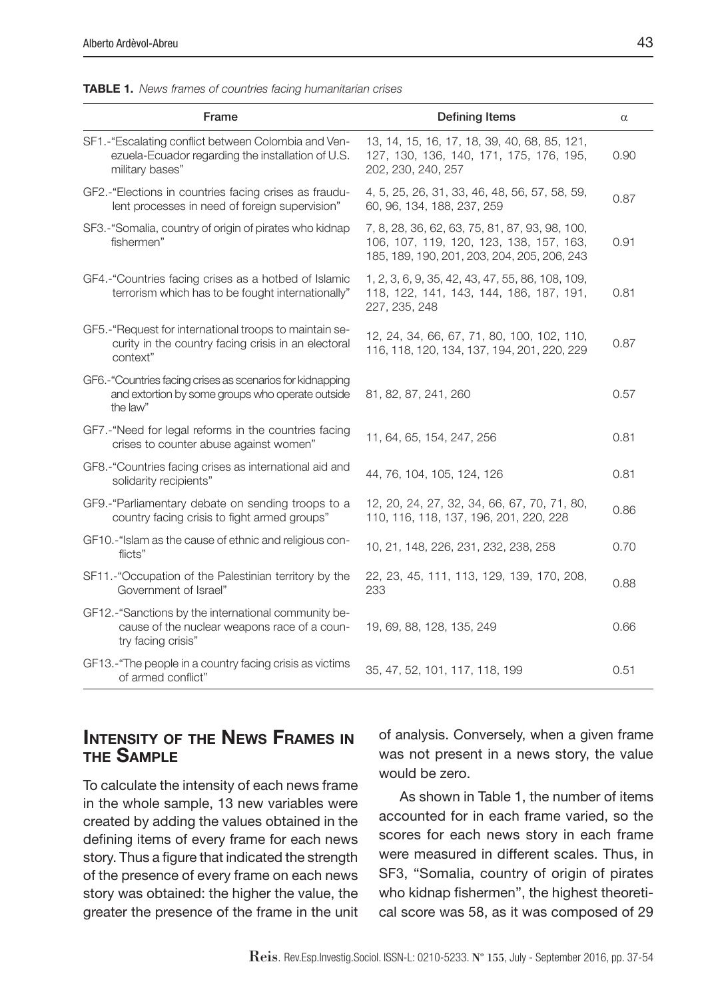|  | <b>TABLE 1.</b> News frames of countries facing humanitarian crises |  |  |  |  |
|--|---------------------------------------------------------------------|--|--|--|--|
|--|---------------------------------------------------------------------|--|--|--|--|

| Frame                                                                                                                       | <b>Defining Items</b>                                                                                                                    | $\alpha$ |
|-----------------------------------------------------------------------------------------------------------------------------|------------------------------------------------------------------------------------------------------------------------------------------|----------|
| SF1.-"Escalating conflict between Colombia and Ven-<br>ezuela-Ecuador regarding the installation of U.S.<br>military bases" | 13, 14, 15, 16, 17, 18, 39, 40, 68, 85, 121,<br>127, 130, 136, 140, 171, 175, 176, 195,<br>202, 230, 240, 257                            | 0.90     |
| GF2.-"Elections in countries facing crises as fraudu-<br>lent processes in need of foreign supervision"                     | 4, 5, 25, 26, 31, 33, 46, 48, 56, 57, 58, 59,<br>60, 96, 134, 188, 237, 259                                                              | 0.87     |
| SF3.-"Somalia, country of origin of pirates who kidnap<br>fishermen"                                                        | 7, 8, 28, 36, 62, 63, 75, 81, 87, 93, 98, 100,<br>106, 107, 119, 120, 123, 138, 157, 163,<br>185, 189, 190, 201, 203, 204, 205, 206, 243 | 0.91     |
| GF4.-"Countries facing crises as a hotbed of Islamic<br>terrorism which has to be fought internationally"                   | 1, 2, 3, 6, 9, 35, 42, 43, 47, 55, 86, 108, 109,<br>118, 122, 141, 143, 144, 186, 187, 191,<br>227, 235, 248                             | 0.81     |
| GF5.-"Request for international troops to maintain se-<br>curity in the country facing crisis in an electoral<br>context"   | 12, 24, 34, 66, 67, 71, 80, 100, 102, 110,<br>116, 118, 120, 134, 137, 194, 201, 220, 229                                                | 0.87     |
| GF6.-"Countries facing crises as scenarios for kidnapping<br>and extortion by some groups who operate outside<br>the law"   | 81, 82, 87, 241, 260                                                                                                                     | 0.57     |
| GF7.-"Need for legal reforms in the countries facing<br>crises to counter abuse against women"                              | 11, 64, 65, 154, 247, 256                                                                                                                | 0.81     |
| GF8.-"Countries facing crises as international aid and<br>solidarity recipients"                                            | 44, 76, 104, 105, 124, 126                                                                                                               | 0.81     |
| GF9.-"Parliamentary debate on sending troops to a<br>country facing crisis to fight armed groups"                           | 12, 20, 24, 27, 32, 34, 66, 67, 70, 71, 80,<br>110, 116, 118, 137, 196, 201, 220, 228                                                    | 0.86     |
| GF10.-"Islam as the cause of ethnic and religious con-<br>flicts"                                                           | 10, 21, 148, 226, 231, 232, 238, 258                                                                                                     | 0.70     |
| SF11.-"Occupation of the Palestinian territory by the<br>Government of Israel"                                              | 22, 23, 45, 111, 113, 129, 139, 170, 208,<br>233                                                                                         | 0.88     |
| GF12.-"Sanctions by the international community be-<br>cause of the nuclear weapons race of a coun-<br>try facing crisis"   | 19, 69, 88, 128, 135, 249                                                                                                                | 0.66     |
| GF13.-"The people in a country facing crisis as victims<br>of armed conflict"                                               | 35, 47, 52, 101, 117, 118, 199                                                                                                           | 0.51     |

# Intensity of the News Frames in the Sample

To calculate the intensity of each news frame in the whole sample, 13 new variables were created by adding the values obtained in the defining items of every frame for each news story. Thus a figure that indicated the strength of the presence of every frame on each news story was obtained: the higher the value, the greater the presence of the frame in the unit of analysis. Conversely, when a given frame was not present in a news story, the value would be zero.

As shown in Table 1, the number of items accounted for in each frame varied, so the scores for each news story in each frame were measured in different scales. Thus, in SF3, "Somalia, country of origin of pirates who kidnap fishermen", the highest theoretical score was 58, as it was composed of 29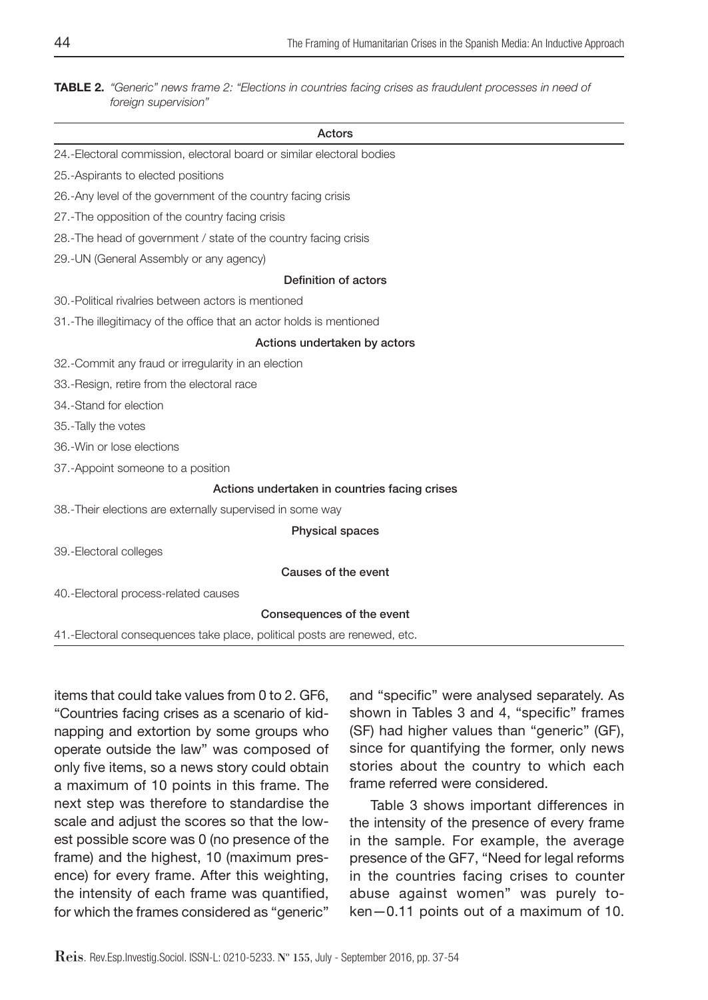TABLE 2. *"Generic" news frame 2: "Elections in countries facing crises as fraudulent processes in need of foreign supervision"*

#### Actors

- 24.-Electoral commission, electoral board or similar electoral bodies
- 25.-Aspirants to elected positions
- 26.-Any level of the government of the country facing crisis
- 27.-The opposition of the country facing crisis
- 28.-The head of government / state of the country facing crisis
- 29.-UN (General Assembly or any agency)

#### Definition of actors

- 30.-Political rivalries between actors is mentioned
- 31.-The illegitimacy of the office that an actor holds is mentioned

#### Actions undertaken by actors

- 32.-Commit any fraud or irregularity in an election
- 33.-Resign, retire from the electoral race
- 34.-Stand for election
- 35.-Tally the votes
- 36.-Win or lose elections
- 37.-Appoint someone to a position

#### Actions undertaken in countries facing crises

38.-Their elections are externally supervised in some way

#### Physical spaces

39.-Electoral colleges

#### Causes of the event

40.-Electoral process-related causes

#### Consequences of the event

41.-Electoral consequences take place, political posts are renewed, etc.

items that could take values from 0 to 2. GF6, "Countries facing crises as a scenario of kidnapping and extortion by some groups who operate outside the law" was composed of only five items, so a news story could obtain a maximum of 10 points in this frame. The next step was therefore to standardise the scale and adjust the scores so that the lowest possible score was 0 (no presence of the frame) and the highest, 10 (maximum presence) for every frame. After this weighting, the intensity of each frame was quantified, for which the frames considered as "generic"

and "specific" were analysed separately. As shown in Tables 3 and 4, "specific" frames (SF) had higher values than "generic" (GF), since for quantifying the former, only news stories about the country to which each frame referred were considered.

Table 3 shows important differences in the intensity of the presence of every frame in the sample. For example, the average presence of the GF7, "Need for legal reforms in the countries facing crises to counter abuse against women" was purely token—0.11 points out of a maximum of 10.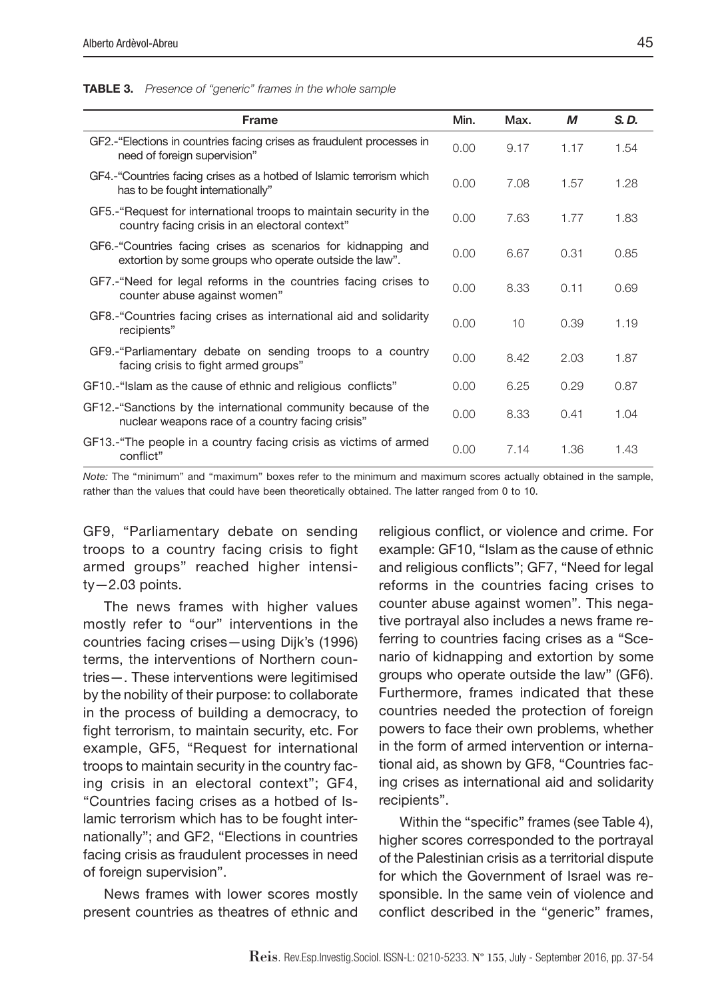| <b>Frame</b>                                                                                                            | Min. | Max. | М    | S.D. |
|-------------------------------------------------------------------------------------------------------------------------|------|------|------|------|
| GF2. "Elections in countries facing crises as fraudulent processes in<br>need of foreign supervision"                   | 0.00 | 9.17 | 1.17 | 1.54 |
| GF4. "Countries facing crises as a hotbed of Islamic terrorism which<br>has to be fought internationally"               | 0.00 | 7.08 | 1.57 | 1.28 |
| GF5.-"Request for international troops to maintain security in the<br>country facing crisis in an electoral context"    | 0.00 | 7.63 | 1.77 | 1.83 |
| GF6.-"Countries facing crises as scenarios for kidnapping and<br>extortion by some groups who operate outside the law". | 0.00 | 6.67 | 0.31 | 0.85 |
| GF7.-"Need for legal reforms in the countries facing crises to<br>counter abuse against women"                          | 0.00 | 8.33 | 0.11 | 0.69 |
| GF8.-"Countries facing crises as international aid and solidarity<br>recipients"                                        | 0.00 | 10   | 0.39 | 1.19 |
| GF9.-"Parliamentary debate on sending troops to a country<br>facing crisis to fight armed groups"                       | 0.00 | 8.42 | 2.03 | 1.87 |
| GF10.-"Islam as the cause of ethnic and religious conflicts"                                                            | 0.00 | 6.25 | 0.29 | 0.87 |
| GF12.-"Sanctions by the international community because of the<br>nuclear weapons race of a country facing crisis"      | 0.00 | 8.33 | 0.41 | 1.04 |
| GF13.-"The people in a country facing crisis as victims of armed<br>conflict"                                           | 0.00 | 7.14 | 1.36 | 1.43 |

TABLE 3. *Presence of "generic" frames in the whole sample*

*Note:* The "minimum" and "maximum" boxes refer to the minimum and maximum scores actually obtained in the sample, rather than the values that could have been theoretically obtained. The latter ranged from 0 to 10.

GF9, "Parliamentary debate on sending troops to a country facing crisis to fight armed groups" reached higher intensi $ty - 2.03$  points.

The news frames with higher values mostly refer to "our" interventions in the countries facing crises—using Dijk's (1996) terms, the interventions of Northern countries—. These interventions were legitimised by the nobility of their purpose: to collaborate in the process of building a democracy, to fight terrorism, to maintain security, etc. For example, GF5, "Request for international troops to maintain security in the country facing crisis in an electoral context"; GF4, "Countries facing crises as a hotbed of Islamic terrorism which has to be fought internationally"; and GF2, "Elections in countries facing crisis as fraudulent processes in need of foreign supervision".

News frames with lower scores mostly present countries as theatres of ethnic and religious conflict, or violence and crime. For example: GF10, "Islam as the cause of ethnic and religious conflicts"; GF7, "Need for legal reforms in the countries facing crises to counter abuse against women". This negative portrayal also includes a news frame referring to countries facing crises as a "Scenario of kidnapping and extortion by some groups who operate outside the law" (GF6). Furthermore, frames indicated that these countries needed the protection of foreign powers to face their own problems, whether in the form of armed intervention or international aid, as shown by GF8, "Countries facing crises as international aid and solidarity recipients".

Within the "specific" frames (see Table 4), higher scores corresponded to the portrayal of the Palestinian crisis as a territorial dispute for which the Government of Israel was responsible. In the same vein of violence and conflict described in the "generic" frames,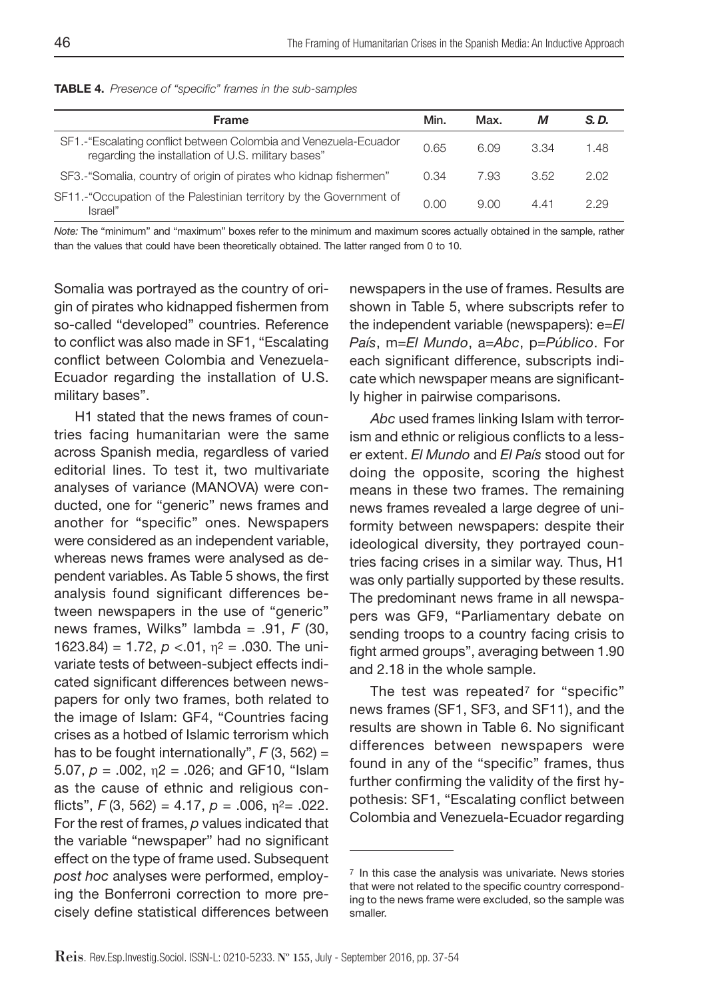|  | <b>TABLE 4.</b> Presence of "specific" frames in the sub-samples |  |  |  |  |
|--|------------------------------------------------------------------|--|--|--|--|
|--|------------------------------------------------------------------|--|--|--|--|

| <b>Frame</b>                                                                                                           | Min. | Max. | м    | S.D. |
|------------------------------------------------------------------------------------------------------------------------|------|------|------|------|
| SF1.-"Escalating conflict between Colombia and Venezuela-Ecuador<br>regarding the installation of U.S. military bases" | 0.65 | 6.09 | 3.34 | 1.48 |
| SF3.-"Somalia, country of origin of pirates who kidnap fishermen"                                                      | 0.34 | 7.93 | 3.52 | 2.02 |
| SF11.-"Occupation of the Palestinian territory by the Government of<br>Israel"                                         | 0.00 | 9.00 | 441  | 2.29 |

*Note:* The "minimum" and "maximum" boxes refer to the minimum and maximum scores actually obtained in the sample, rather than the values that could have been theoretically obtained. The latter ranged from 0 to 10.

Somalia was portrayed as the country of origin of pirates who kidnapped fishermen from so-called "developed" countries. Reference to conflict was also made in SF1, "Escalating conflict between Colombia and Venezuela-Ecuador regarding the installation of U.S. military bases".

H1 stated that the news frames of countries facing humanitarian were the same across Spanish media, regardless of varied editorial lines. To test it, two multivariate analyses of variance (MANOVA) were conducted, one for "generic" news frames and another for "specific" ones. Newspapers were considered as an independent variable, whereas news frames were analysed as dependent variables. As Table 5 shows, the first analysis found significant differences between newspapers in the use of "generic" news frames, Wilks" lambda = .91, *F* (30, 1623.84) = 1.72,  $p < 0.01$ ,  $n^2 = 0.030$ . The univariate tests of between-subject effects indicated significant differences between newspapers for only two frames, both related to the image of Islam: GF4, "Countries facing crises as a hotbed of Islamic terrorism which has to be fought internationally",  $F(3, 562) =$ 5.07,  $p = .002$ ,  $n = 0.026$ ; and GF10, "Islam as the cause of ethnic and religious conflicts",  $F(3, 562) = 4.17$ ,  $p = .006$ ,  $n^2 = .022$ . For the rest of frames, *p* values indicated that the variable "newspaper" had no significant effect on the type of frame used. Subsequent *post hoc* analyses were performed, employing the Bonferroni correction to more precisely define statistical differences between newspapers in the use of frames. Results are shown in Table 5, where subscripts refer to the independent variable (newspapers): e=*El País*, m=*El Mundo*, a=*Abc*, p=*Público*. For each significant difference, subscripts indicate which newspaper means are significantly higher in pairwise comparisons.

*Abc* used frames linking Islam with terrorism and ethnic or religious conflicts to a lesser extent. *El Mundo* and *El País* stood out for doing the opposite, scoring the highest means in these two frames. The remaining news frames revealed a large degree of uniformity between newspapers: despite their ideological diversity, they portrayed countries facing crises in a similar way. Thus, H1 was only partially supported by these results. The predominant news frame in all newspapers was GF9, "Parliamentary debate on sending troops to a country facing crisis to fight armed groups", averaging between 1.90 and 2.18 in the whole sample.

The test was repeated<sup>7</sup> for "specific" news frames (SF1, SF3, and SF11), and the results are shown in Table 6. No significant differences between newspapers were found in any of the "specific" frames, thus further confirming the validity of the first hypothesis: SF1, "Escalating conflict between Colombia and Venezuela-Ecuador regarding

<sup>7</sup> In this case the analysis was univariate. News stories that were not related to the specific country corresponding to the news frame were excluded, so the sample was smaller.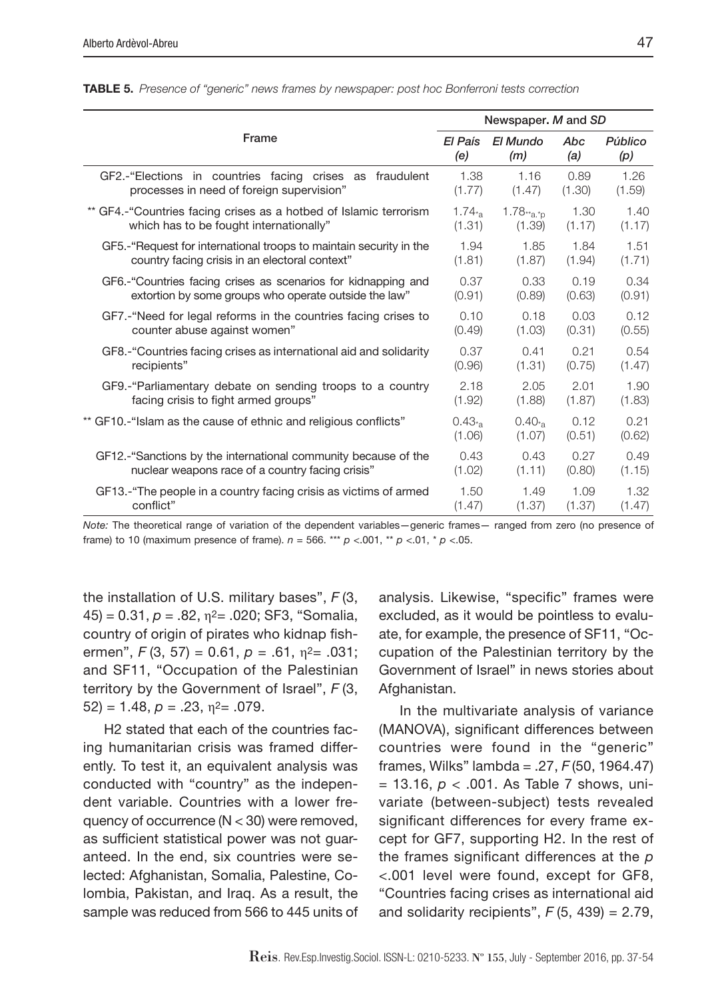|                                                                    |            | Newspaper. M and SD |        |         |
|--------------------------------------------------------------------|------------|---------------------|--------|---------|
| Frame                                                              | El País    | El Mundo            | Abc    | Público |
|                                                                    | (e)        | (m)                 | (a)    | (p)     |
| GF2.-"Elections in countries facing crises as fraudulent           | 1.38       | 1.16                | 0.89   | 1.26    |
| processes in need of foreign supervision"                          | (1.77)     | (1.47)              | (1.30) | (1.59)  |
| ** GF4.-"Countries facing crises as a hotbed of Islamic terrorism  | $1.74_{*}$ | $1.78**a.*p$        | 1.30   | 1.40    |
| which has to be fought internationally"                            | (1.31)     | (1.39)              | (1.17) | (1.17)  |
| GF5.-"Request for international troops to maintain security in the | 1.94       | 1.85                | 1.84   | 1.51    |
| country facing crisis in an electoral context"                     | (1.81)     | (1.87)              | (1.94) | (1.71)  |
| GF6.-"Countries facing crises as scenarios for kidnapping and      | 0.37       | 0.33                | 0.19   | 0.34    |
| extortion by some groups who operate outside the law"              | (0.91)     | (0.89)              | (0.63) | (0.91)  |
| GF7.-"Need for legal reforms in the countries facing crises to     | 0.10       | 0.18                | 0.03   | 0.12    |
| counter abuse against women"                                       | (0.49)     | (1.03)              | (0.31) | (0.55)  |
| GF8.-"Countries facing crises as international aid and solidarity  | 0.37       | 0.41                | 0.21   | 0.54    |
| recipients"                                                        | (0.96)     | (1.31)              | (0.75) | (1.47)  |
| GF9.-"Parliamentary debate on sending troops to a country          | 2.18       | 2.05                | 2.01   | 1.90    |
| facing crisis to fight armed groups"                               | (1.92)     | (1.88)              | (1.87) | (1.83)  |
| ** GF10.-"Islam as the cause of ethnic and religious conflicts"    | 0.43       | $0.40_{*}$          | 0.12   | 0.21    |
|                                                                    | (1.06)     | (1.07)              | (0.51) | (0.62)  |
| GF12.-"Sanctions by the international community because of the     | 0.43       | 0.43                | 0.27   | 0.49    |
| nuclear weapons race of a country facing crisis"                   | (1.02)     | (1.11)              | (0.80) | (1.15)  |
| GF13.-"The people in a country facing crisis as victims of armed   | 1.50       | 1.49                | 1.09   | 1.32    |
| conflict"                                                          | (1.47)     | (1.37)              | (1.37) | (1.47)  |

TABLE 5. *Presence of "generic" news frames by newspaper: post hoc Bonferroni tests correction*

*Note:* The theoretical range of variation of the dependent variables—generic frames— ranged from zero (no presence of frame) to 10 (maximum presence of frame).  $n = 566$ . \*\*\*  $p < .001$ , \*\*  $p < .01$ , \*  $p < .05$ .

the installation of U.S. military bases", *F* (3,  $(45) = 0.31, p = .82, \eta^2 = .020$ ; SF3, "Somalia, country of origin of pirates who kidnap fishermen", *F* (3, 57) = 0.61, *p* = .61, η2= .031; and SF11, "Occupation of the Palestinian territory by the Government of Israel", *F* (3,  $52$ ) = 1.48,  $p = .23$ ,  $n^2 = .079$ .

H2 stated that each of the countries facing humanitarian crisis was framed differently. To test it, an equivalent analysis was conducted with "country" as the independent variable. Countries with a lower frequency of occurrence (N < 30) were removed, as sufficient statistical power was not guaranteed. In the end, six countries were selected: Afghanistan, Somalia, Palestine, Colombia, Pakistan, and Iraq. As a result, the sample was reduced from 566 to 445 units of analysis. Likewise, "specific" frames were excluded, as it would be pointless to evaluate, for example, the presence of SF11, "Occupation of the Palestinian territory by the Government of Israel" in news stories about Afghanistan.

In the multivariate analysis of variance (MANOVA), significant differences between countries were found in the "generic" frames, Wilks" lambda = .27, *F* (50, 1964.47) = 13.16, *p* < .001. As Table 7 shows, univariate (between-subject) tests revealed significant differences for every frame except for GF7, supporting H2. In the rest of the frames significant differences at the *p* <.001 level were found, except for GF8, "Countries facing crises as international aid and solidarity recipients",  $F(5, 439) = 2.79$ ,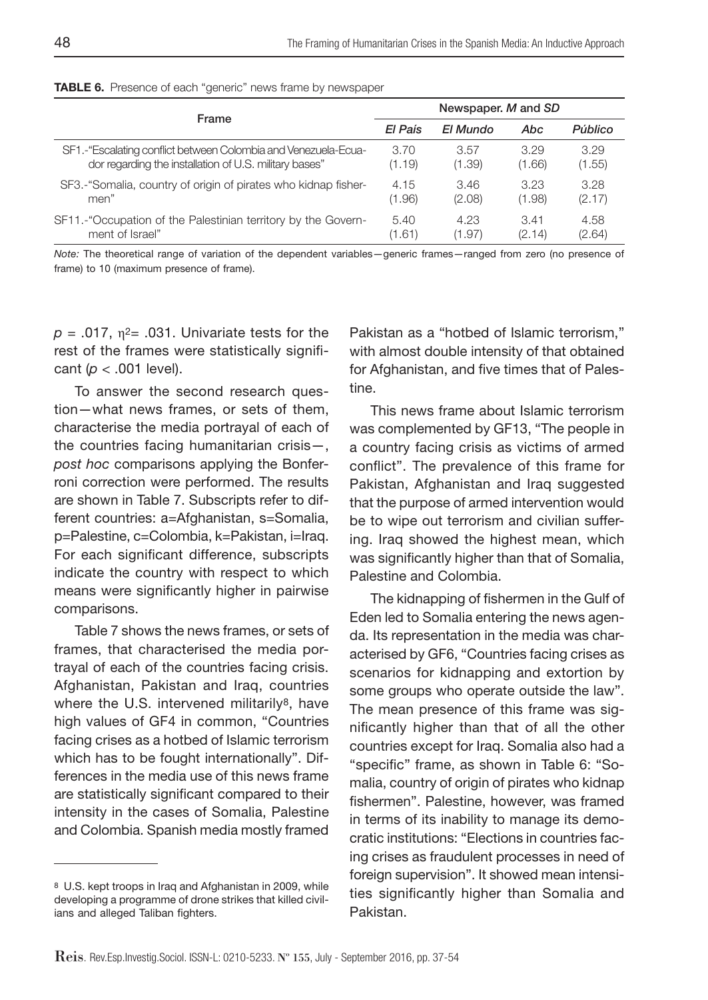| Frame                                                          | Newspaper. M and SD |          |        |         |  |
|----------------------------------------------------------------|---------------------|----------|--------|---------|--|
|                                                                |                     | El Mundo | Abc    | Público |  |
| SF1.-"Escalating conflict between Colombia and Venezuela-Ecua- | 3.70                | 3.57     | 3.29   | 3.29    |  |
| dor regarding the installation of U.S. military bases"         | (1.19)              | (1.39)   | (1.66) | (1.55)  |  |
| SF3.-"Somalia, country of origin of pirates who kidnap fisher- | 4.15                | 3.46     | 3.23   | 3.28    |  |
| men"                                                           | (1.96)              | (2.08)   | (1.98) | (2.17)  |  |
| SF11.-"Occupation of the Palestinian territory by the Govern-  | 5.40                | 4.23     | 3.41   | 4.58    |  |
| ment of Israel"                                                | (1.61)              | (1.97)   | (2.14) | (2.64)  |  |

TABLE 6. Presence of each "generic" news frame by newspaper

*Note:* The theoretical range of variation of the dependent variables—generic frames—ranged from zero (no presence of frame) to 10 (maximum presence of frame).

 $p = .017$ ,  $\eta^2 = .031$ . Univariate tests for the rest of the frames were statistically significant (*p* < .001 level).

To answer the second research question—what news frames, or sets of them, characterise the media portrayal of each of the countries facing humanitarian crisis—, *post hoc* comparisons applying the Bonferroni correction were performed. The results are shown in Table 7. Subscripts refer to different countries: a=Afghanistan, s=Somalia, p=Palestine, c=Colombia, k=Pakistan, i=Iraq. For each significant difference, subscripts indicate the country with respect to which means were significantly higher in pairwise comparisons.

Table 7 shows the news frames, or sets of frames, that characterised the media portrayal of each of the countries facing crisis. Afghanistan, Pakistan and Iraq, countries where the U.S. intervened militarily<sup>8</sup>, have high values of GF4 in common, "Countries facing crises as a hotbed of Islamic terrorism which has to be fought internationally". Differences in the media use of this news frame are statistically significant compared to their intensity in the cases of Somalia, Palestine and Colombia. Spanish media mostly framed

Pakistan as a "hotbed of Islamic terrorism," with almost double intensity of that obtained for Afghanistan, and five times that of Palestine.

This news frame about Islamic terrorism was complemented by GF13, "The people in a country facing crisis as victims of armed conflict". The prevalence of this frame for Pakistan, Afghanistan and Iraq suggested that the purpose of armed intervention would be to wipe out terrorism and civilian suffering. Iraq showed the highest mean, which was significantly higher than that of Somalia, Palestine and Colombia.

The kidnapping of fishermen in the Gulf of Eden led to Somalia entering the news agenda. Its representation in the media was characterised by GF6, "Countries facing crises as scenarios for kidnapping and extortion by some groups who operate outside the law". The mean presence of this frame was significantly higher than that of all the other countries except for Iraq. Somalia also had a "specific" frame, as shown in Table 6: "Somalia, country of origin of pirates who kidnap fishermen". Palestine, however, was framed in terms of its inability to manage its democratic institutions: "Elections in countries facing crises as fraudulent processes in need of foreign supervision". It showed mean intensities significantly higher than Somalia and Pakistan.

<sup>8</sup> U.S. kept troops in Iraq and Afghanistan in 2009, while developing a programme of drone strikes that killed civilians and alleged Taliban fighters.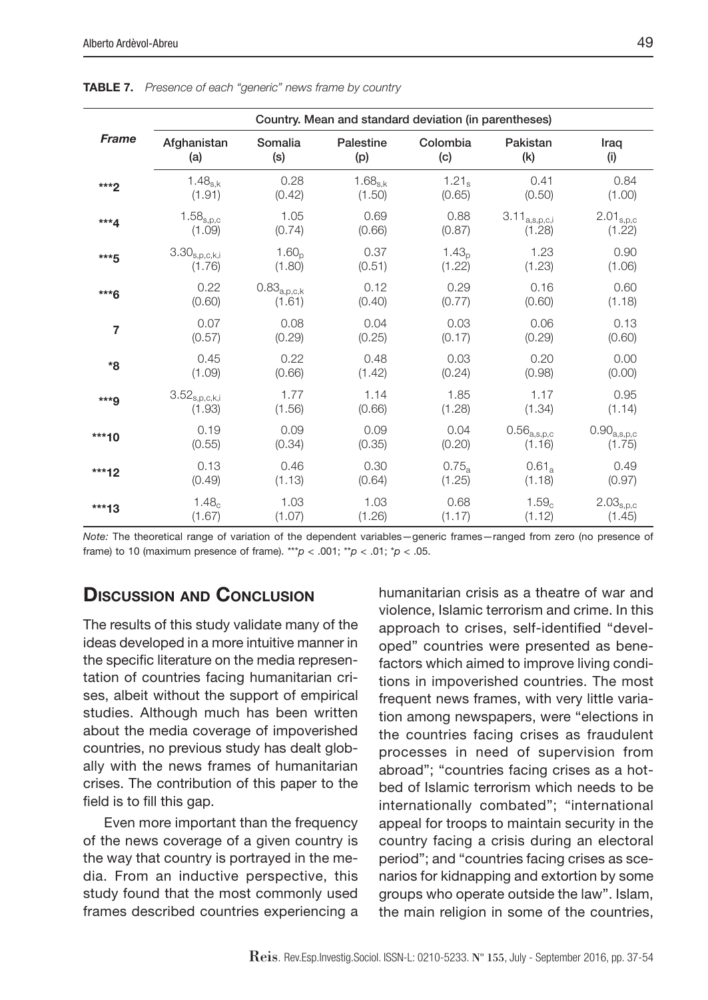|                | Country. Mean and standard deviation (in parentheses) |                      |              |                   |                        |                      |  |
|----------------|-------------------------------------------------------|----------------------|--------------|-------------------|------------------------|----------------------|--|
| <b>Frame</b>   | Afghanistan                                           | Somalia              | Palestine    | Colombia          | Pakistan               | Iraq                 |  |
|                | (a)                                                   | (s)                  | (p)          | (c)               | (k)                    | (i)                  |  |
| $***2$         | $1.48_{s.k}$                                          | 0.28                 | $1.68_{s.k}$ | $1.21_s$          | 0.41                   | 0.84                 |  |
|                | (1.91)                                                | (0.42)               | (1.50)       | (0.65)            | (0.50)                 | (1.00)               |  |
| $***4$         | $1.58_{s,p,c}$                                        | 1.05                 | 0.69         | 0.88              | $3.11_{\rm a,s,p,c,i}$ | $2.01_{s,p,c}$       |  |
|                | (1.09)                                                | (0.74)               | (0.66)       | (0.87)            | (1.28)                 | (1.22)               |  |
| ***5           | $3.30_{\rm s,p,c,k,i}$                                | 1.60 <sub>n</sub>    | 0.37         | 1.43 <sub>n</sub> | 1.23                   | 0.90                 |  |
|                | (1.76)                                                | (1.80)               | (0.51)       | (1.22)            | (1.23)                 | (1.06)               |  |
| ***6           | 0.22                                                  | $0.83_{\rm a,p,c,k}$ | 0.12         | 0.29              | 0.16                   | 0.60                 |  |
|                | (0.60)                                                | (1.61)               | (0.40)       | (0.77)            | (0.60)                 | (1.18)               |  |
| $\overline{7}$ | 0.07                                                  | 0.08                 | 0.04         | 0.03              | 0.06                   | 0.13                 |  |
|                | (0.57)                                                | (0.29)               | (0.25)       | (0.17)            | (0.29)                 | (0.60)               |  |
| *8             | 0.45                                                  | 0.22                 | 0.48         | 0.03              | 0.20                   | 0.00                 |  |
|                | (1.09)                                                | (0.66)               | (1.42)       | (0.24)            | (0.98)                 | (0.00)               |  |
| $***9$         | $3.52_{\rm s,p,c,k,i}$                                | 1.77                 | 1.14         | 1.85              | 1.17                   | 0.95                 |  |
|                | (1.93)                                                | (1.56)               | (0.66)       | (1.28)            | (1.34)                 | (1.14)               |  |
| $***10$        | 0.19                                                  | 0.09                 | 0.09         | 0.04              | $0.56_{\rm a,s,p,c}$   | $0.90_{\rm a,s,p,c}$ |  |
|                | (0.55)                                                | (0.34)               | (0.35)       | (0.20)            | (1.16)                 | (1.75)               |  |
| $***12$        | 0.13                                                  | 0.46                 | 0.30         | $0.75_a$          | $0.61_a$               | 0.49                 |  |
|                | (0.49)                                                | (1.13)               | (0.64)       | (1.25)            | (1.18)                 | (0.97)               |  |
| $***13$        | 1.48 <sub>c</sub>                                     | 1.03                 | 1.03         | 0.68              | 1.59 <sub>c</sub>      | $2.03_{\rm s,p,c}$   |  |
|                | (1.67)                                                | (1.07)               | (1.26)       | (1.17)            | (1.12)                 | (1.45)               |  |

TABLE 7. *Presence of each "generic" news frame by country*

*Note:* The theoretical range of variation of the dependent variables—generic frames—ranged from zero (no presence of frame) to 10 (maximum presence of frame). \*\*\* $p < .001$ ; \*\* $p < .01$ ; \* $p < .05$ .

# Discussion and Conclusion

The results of this study validate many of the ideas developed in a more intuitive manner in the specific literature on the media representation of countries facing humanitarian crises, albeit without the support of empirical studies. Although much has been written about the media coverage of impoverished countries, no previous study has dealt globally with the news frames of humanitarian crises. The contribution of this paper to the field is to fill this gap.

Even more important than the frequency of the news coverage of a given country is the way that country is portrayed in the media. From an inductive perspective, this study found that the most commonly used frames described countries experiencing a humanitarian crisis as a theatre of war and violence, Islamic terrorism and crime. In this approach to crises, self-identified "developed" countries were presented as benefactors which aimed to improve living conditions in impoverished countries. The most frequent news frames, with very little variation among newspapers, were "elections in the countries facing crises as fraudulent processes in need of supervision from abroad"; "countries facing crises as a hotbed of Islamic terrorism which needs to be internationally combated"; "international appeal for troops to maintain security in the country facing a crisis during an electoral period"; and "countries facing crises as scenarios for kidnapping and extortion by some groups who operate outside the law". Islam, the main religion in some of the countries,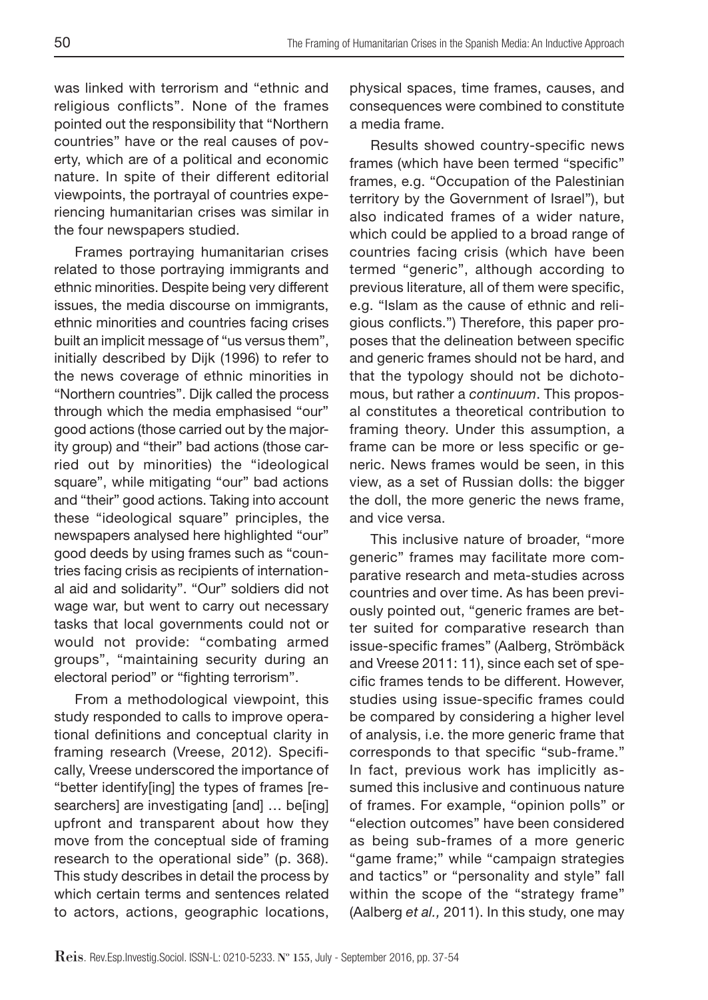was linked with terrorism and "ethnic and religious conflicts". None of the frames pointed out the responsibility that "Northern countries" have or the real causes of poverty, which are of a political and economic nature. In spite of their different editorial viewpoints, the portrayal of countries experiencing humanitarian crises was similar in the four newspapers studied.

Frames portraying humanitarian crises related to those portraying immigrants and ethnic minorities. Despite being very different issues, the media discourse on immigrants, ethnic minorities and countries facing crises built an implicit message of "us versus them", initially described by Dijk (1996) to refer to the news coverage of ethnic minorities in "Northern countries". Dijk called the process through which the media emphasised "our" good actions (those carried out by the majority group) and "their" bad actions (those carried out by minorities) the "ideological square", while mitigating "our" bad actions and "their" good actions. Taking into account these "ideological square" principles, the newspapers analysed here highlighted "our" good deeds by using frames such as "countries facing crisis as recipients of international aid and solidarity". "Our" soldiers did not wage war, but went to carry out necessary tasks that local governments could not or would not provide: "combating armed groups", "maintaining security during an electoral period" or "fighting terrorism".

From a methodological viewpoint, this study responded to calls to improve operational definitions and conceptual clarity in framing research (Vreese, 2012). Specifically, Vreese underscored the importance of "better identify[ing] the types of frames [researchers] are investigating [and] … be[ing] upfront and transparent about how they move from the conceptual side of framing research to the operational side" (p. 368). This study describes in detail the process by which certain terms and sentences related to actors, actions, geographic locations,

physical spaces, time frames, causes, and consequences were combined to constitute a media frame.

Results showed country-specific news frames (which have been termed "specific" frames, e.g. "Occupation of the Palestinian territory by the Government of Israel"), but also indicated frames of a wider nature, which could be applied to a broad range of countries facing crisis (which have been termed "generic", although according to previous literature, all of them were specific, e.g. "Islam as the cause of ethnic and religious conflicts.") Therefore, this paper proposes that the delineation between specific and generic frames should not be hard, and that the typology should not be dichotomous, but rather a *continuum*. This proposal constitutes a theoretical contribution to framing theory. Under this assumption, a frame can be more or less specific or generic. News frames would be seen, in this view, as a set of Russian dolls: the bigger the doll, the more generic the news frame, and vice versa.

This inclusive nature of broader, "more generic" frames may facilitate more comparative research and meta-studies across countries and over time. As has been previously pointed out, "generic frames are better suited for comparative research than issue-specific frames" (Aalberg, Strömbäck and Vreese 2011: 11), since each set of specific frames tends to be different. However, studies using issue-specific frames could be compared by considering a higher level of analysis, i.e. the more generic frame that corresponds to that specific "sub-frame." In fact, previous work has implicitly assumed this inclusive and continuous nature of frames. For example, "opinion polls" or "election outcomes" have been considered as being sub-frames of a more generic "game frame;" while "campaign strategies and tactics" or "personality and style" fall within the scope of the "strategy frame" (Aalberg *et al.,* 2011). In this study, one may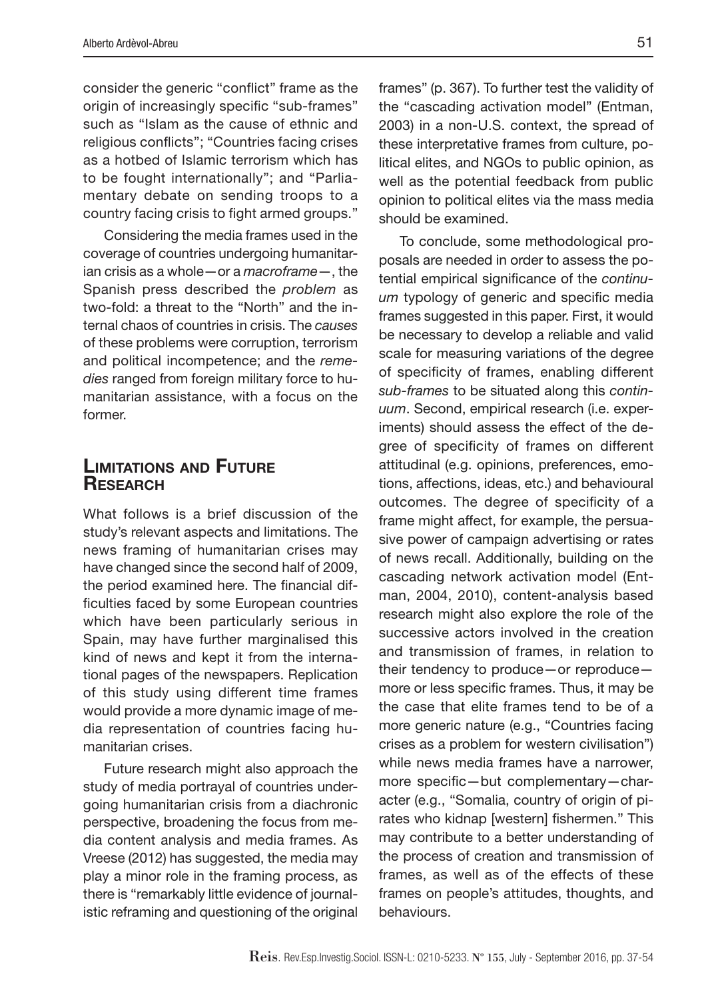consider the generic "conflict" frame as the origin of increasingly specific "sub-frames" such as "Islam as the cause of ethnic and religious conflicts"; "Countries facing crises as a hotbed of Islamic terrorism which has to be fought internationally"; and "Parliamentary debate on sending troops to a country facing crisis to fight armed groups."

Considering the media frames used in the coverage of countries undergoing humanitarian crisis as a whole—or a *macroframe*—, the Spanish press described the *problem* as two-fold: a threat to the "North" and the internal chaos of countries in crisis. The *causes* of these problems were corruption, terrorism and political incompetence; and the *remedies* ranged from foreign military force to humanitarian assistance, with a focus on the former.

# Limitations and Future **RESEARCH**

What follows is a brief discussion of the study's relevant aspects and limitations. The news framing of humanitarian crises may have changed since the second half of 2009, the period examined here. The financial difficulties faced by some European countries which have been particularly serious in Spain, may have further marginalised this kind of news and kept it from the international pages of the newspapers. Replication of this study using different time frames would provide a more dynamic image of media representation of countries facing humanitarian crises.

Future research might also approach the study of media portrayal of countries undergoing humanitarian crisis from a diachronic perspective, broadening the focus from media content analysis and media frames. As Vreese (2012) has suggested, the media may play a minor role in the framing process, as there is "remarkably little evidence of journalistic reframing and questioning of the original

frames" (p. 367). To further test the validity of the "cascading activation model" (Entman, 2003) in a non-U.S. context, the spread of these interpretative frames from culture, political elites, and NGOs to public opinion, as well as the potential feedback from public opinion to political elites via the mass media should be examined.

To conclude, some methodological proposals are needed in order to assess the potential empirical significance of the *continuum* typology of generic and specific media frames suggested in this paper. First, it would be necessary to develop a reliable and valid scale for measuring variations of the degree of specificity of frames, enabling different *sub-frames* to be situated along this *continuum*. Second, empirical research (i.e. experiments) should assess the effect of the degree of specificity of frames on different attitudinal (e.g. opinions, preferences, emotions, affections, ideas, etc.) and behavioural outcomes. The degree of specificity of a frame might affect, for example, the persuasive power of campaign advertising or rates of news recall. Additionally, building on the cascading network activation model (Entman, 2004, 2010), content-analysis based research might also explore the role of the successive actors involved in the creation and transmission of frames, in relation to their tendency to produce—or reproduce more or less specific frames. Thus, it may be the case that elite frames tend to be of a more generic nature (e.g., "Countries facing crises as a problem for western civilisation") while news media frames have a narrower, more specific—but complementary—character (e.g., "Somalia, country of origin of pirates who kidnap [western] fishermen." This may contribute to a better understanding of the process of creation and transmission of frames, as well as of the effects of these frames on people's attitudes, thoughts, and behaviours.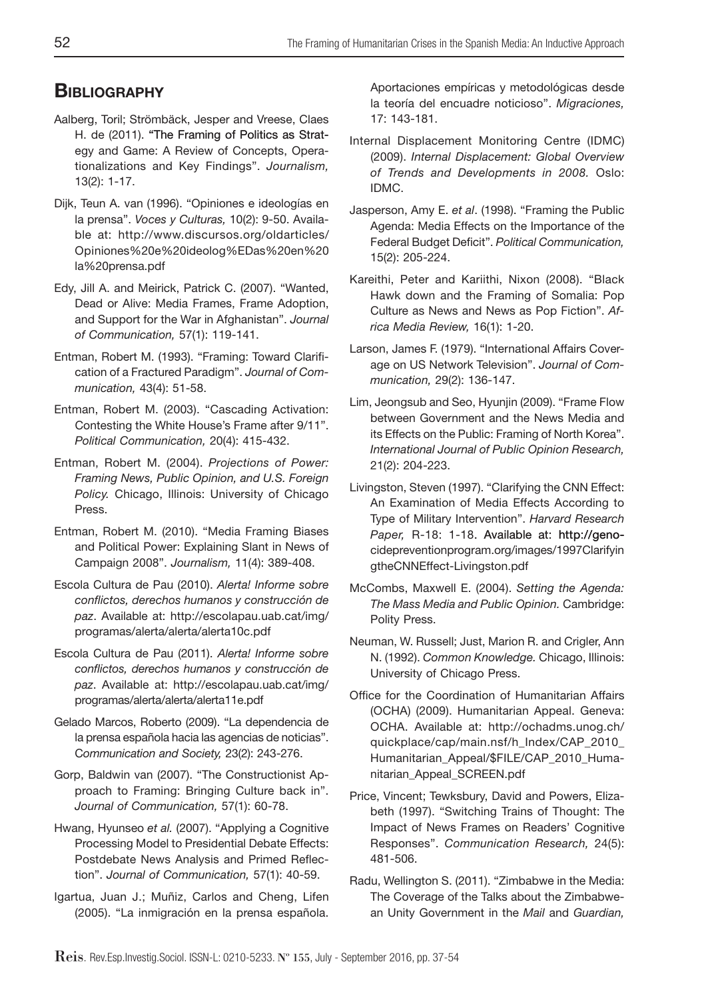# **BIBLIOGRAPHY**

- Aalberg, Toril; Strömbäck, Jesper and Vreese, Claes H. de (2011). "The Framing of Politics as Strategy and Game: A Review of Concepts, Operationalizations and Key Findings". *Journalism,* 13(2): 1-17.
- Dijk, Teun A. van (1996). "Opiniones e ideologías en la prensa". *Voces y Culturas,* 10(2): 9-50. Available at: http://www.discursos.org/oldarticles/ Opiniones%20e%20ideolog%EDas%20en%20 la%20prensa.pdf
- Edy, Jill A. and Meirick, Patrick C. (2007). "Wanted, Dead or Alive: Media Frames, Frame Adoption, and Support for the War in Afghanistan". *Journal of Communication,* 57(1): 119-141.
- Entman, Robert M. (1993). "Framing: Toward Clarification of a Fractured Paradigm". *Journal of Communication,* 43(4): 51-58.
- Entman, Robert M. (2003). "Cascading Activation: Contesting the White House's Frame after 9/11". *Political Communication,* 20(4): 415-432.
- Entman, Robert M. (2004). *Projections of Power: Framing News, Public Opinion, and U.S. Foreign Policy.* Chicago, Illinois: University of Chicago Press.
- Entman, Robert M. (2010). "Media Framing Biases and Political Power: Explaining Slant in News of Campaign 2008". *Journalism,* 11(4): 389-408.
- Escola Cultura de Pau (2010). *Alerta! Informe sobre conflictos, derechos humanos y construcción de paz*. Available at: http://escolapau.uab.cat/img/ programas/alerta/alerta/alerta10c.pdf
- Escola Cultura de Pau (2011). *Alerta! Informe sobre conflictos, derechos humanos y construcción de paz*. Available at: http://escolapau.uab.cat/img/ programas/alerta/alerta/alerta11e.pdf
- Gelado Marcos, Roberto (2009). "La dependencia de la prensa española hacia las agencias de noticias". C*ommunication and Society,* 23(2): 243-276.
- Gorp, Baldwin van (2007). "The Constructionist Approach to Framing: Bringing Culture back in". *Journal of Communication,* 57(1): 60-78.
- Hwang, Hyunseo *et al.* (2007). "Applying a Cognitive Processing Model to Presidential Debate Effects: Postdebate News Analysis and Primed Reflection". *Journal of Communication,* 57(1): 40-59.
- Igartua, Juan J.; Muñiz, Carlos and Cheng, Lifen (2005). "La inmigración en la prensa española.

Aportaciones empíricas y metodológicas desde la teoría del encuadre noticioso". *Migraciones,* 17: 143-181.

- Internal Displacement Monitoring Centre (IDMC) (2009). *Internal Displacement: Global Overview of Trends and Developments in 2008.* Oslo: IDMC.
- Jasperson, Amy E. *et al*. (1998). "Framing the Public Agenda: Media Effects on the Importance of the Federal Budget Deficit". *Political Communication,* 15(2): 205-224.
- Kareithi, Peter and Kariithi, Nixon (2008). "Black Hawk down and the Framing of Somalia: Pop Culture as News and News as Pop Fiction". *Africa Media Review,* 16(1): 1-20.
- Larson, James F. (1979). "International Affairs Coverage on US Network Television". *Journal of Communication,* 29(2): 136-147.
- Lim, Jeongsub and Seo, Hyunjin (2009). "Frame Flow between Government and the News Media and its Effects on the Public: Framing of North Korea". *International Journal of Public Opinion Research,* 21(2): 204-223.
- Livingston, Steven (1997). "Clarifying the CNN Effect: An Examination of Media Effects According to Type of Military Intervention". *Harvard Research*  Paper, R-18: 1-18. Available at: http://genocidepreventionprogram.org/images/1997Clarifyin gtheCNNEffect-Livingston.pdf
- McCombs, Maxwell E. (2004). *Setting the Agenda: The Mass Media and Public Opinion.* Cambridge: Polity Press.
- Neuman, W. Russell; Just, Marion R. and Crigler, Ann N. (1992). *Common Knowledge.* Chicago, Illinois: University of Chicago Press.
- Office for the Coordination of Humanitarian Affairs (OCHA) (2009). Humanitarian Appeal. Geneva: OCHA. Available at: http://ochadms.unog.ch/ quickplace/cap/main.nsf/h\_Index/CAP\_2010\_ Humanitarian\_Appeal/\$FILE/CAP\_2010\_Humanitarian\_Appeal\_SCREEN.pdf
- Price, Vincent; Tewksbury, David and Powers, Elizabeth (1997). "Switching Trains of Thought: The Impact of News Frames on Readers' Cognitive Responses". *Communication Research,* 24(5): 481-506.
- Radu, Wellington S. (2011). "Zimbabwe in the Media: The Coverage of the Talks about the Zimbabwean Unity Government in the *Mail* and *Guardian,*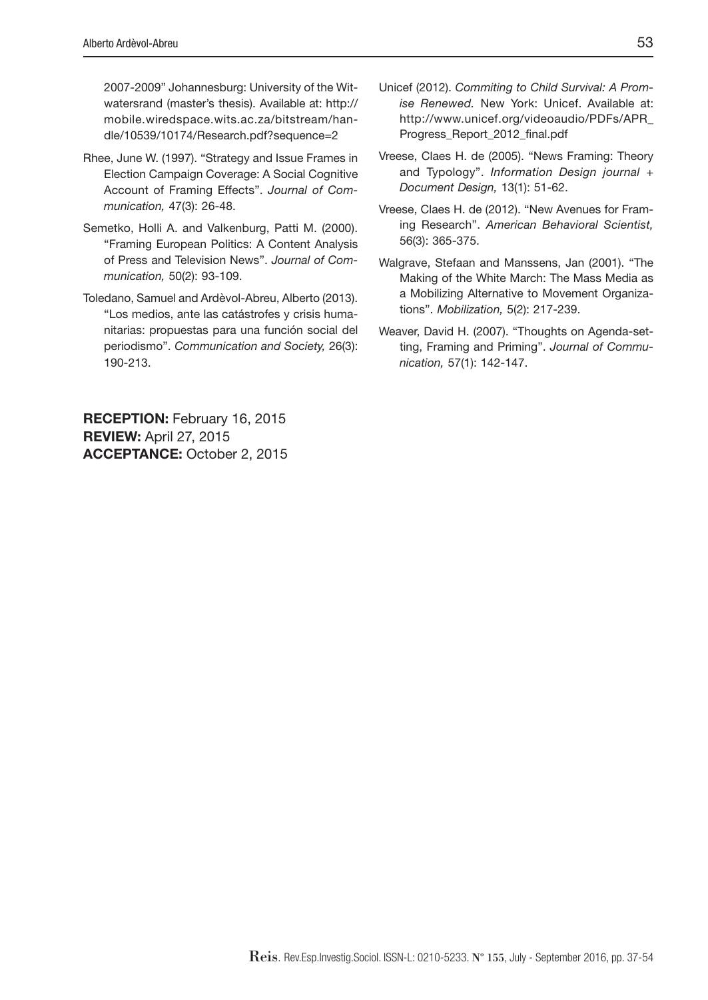2007-2009" Johannesburg: University of the Witwatersrand (master's thesis). Available at: http:// mobile.wiredspace.wits.ac.za/bitstream/handle/10539/10174/Research.pdf?sequence=2

- Rhee, June W. (1997). "Strategy and Issue Frames in Election Campaign Coverage: A Social Cognitive Account of Framing Effects". *Journal of Communication,* 47(3): 26-48.
- Semetko, Holli A. and Valkenburg, Patti M. (2000). "Framing European Politics: A Content Analysis of Press and Television News". *Journal of Communication,* 50(2): 93-109.
- Toledano, Samuel and Ardèvol-Abreu, Alberto (2013). "Los medios, ante las catástrofes y crisis humanitarias: propuestas para una función social del periodismo". *Communication and Society,* 26(3): 190-213.

RECEPTION: February 16, 2015 REVIEW: April 27, 2015 ACCEPTANCE: October 2, 2015

- Unicef (2012). *Commiting to Child Survival: A Promise Renewed.* New York: Unicef. Available at: http://www.unicef.org/videoaudio/PDFs/APR\_ Progress\_Report\_2012\_final.pdf
- Vreese, Claes H. de (2005). "News Framing: Theory and Typology". *Information Design journal + Document Design,* 13(1): 51-62.
- Vreese, Claes H. de (2012). "New Avenues for Framing Research". *American Behavioral Scientist,*  56(3): 365-375.
- Walgrave, Stefaan and Manssens, Jan (2001). "The Making of the White March: The Mass Media as a Mobilizing Alternative to Movement Organizations". *Mobilization,* 5(2): 217-239.
- Weaver, David H. (2007). "Thoughts on Agenda-setting, Framing and Priming". *Journal of Communication,* 57(1): 142-147.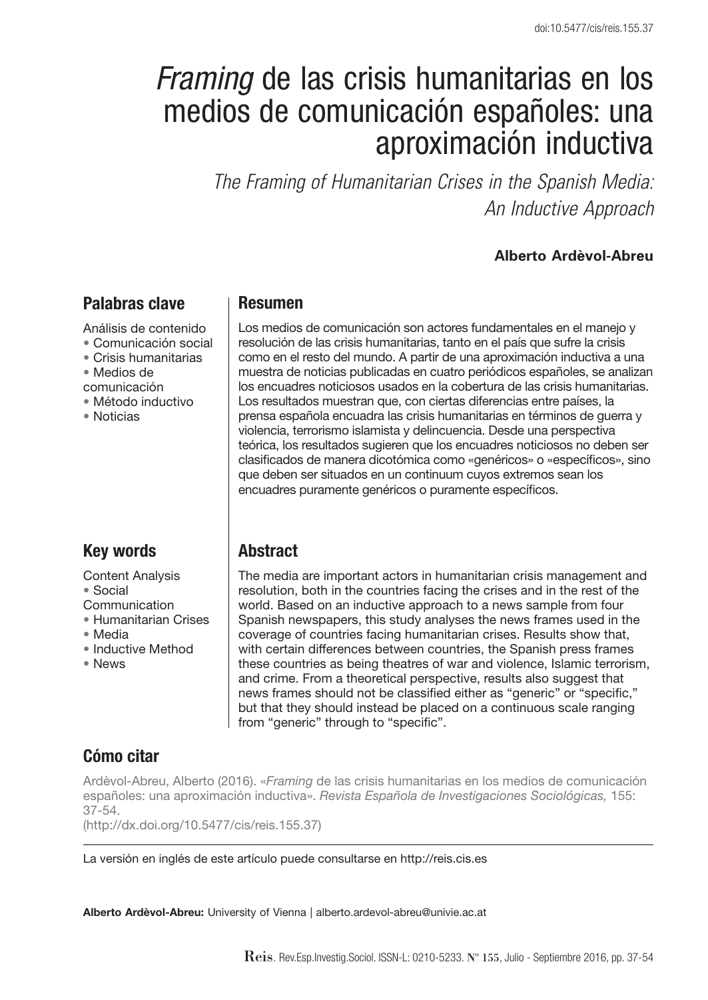# Framing de las crisis humanitarias en los medios de comunicación españoles: una aproximación inductiva

*The Framing of Humanitarian Crises in the Spanish Media: An Inductive Approach* 

### **Alberto Ardèvol-Abreu**

# **Palabras clave**

Análisis de contenido

- Comunicación social
- Crisis humanitarias
- Medios de

comunicación

- Método inductivo
- Noticias

### **Resumen**

Los medios de comunicación son actores fundamentales en el manejo y resolución de las crisis humanitarias, tanto en el país que sufre la crisis como en el resto del mundo. A partir de una aproximación inductiva a una muestra de noticias publicadas en cuatro periódicos españoles, se analizan los encuadres noticiosos usados en la cobertura de las crisis humanitarias. Los resultados muestran que, con ciertas diferencias entre países, la prensa española encuadra las crisis humanitarias en términos de guerra y violencia, terrorismo islamista y delincuencia. Desde una perspectiva teórica, los resultados sugieren que los encuadres noticiosos no deben ser clasifi cados de manera dicotómica como «genéricos» o «específi cos», sino que deben ser situados en un continuum cuyos extremos sean los encuadres puramente genéricos o puramente específicos.

# **Key words**

Content Analysis • Social Communication

- Humanitarian Crises
- Media
- Inductive Method
- News

# **Abstract**

The media are important actors in humanitarian crisis management and resolution, both in the countries facing the crises and in the rest of the world. Based on an inductive approach to a news sample from four Spanish newspapers, this study analyses the news frames used in the coverage of countries facing humanitarian crises. Results show that, with certain differences between countries, the Spanish press frames these countries as being theatres of war and violence, Islamic terrorism, and crime. From a theoretical perspective, results also suggest that news frames should not be classified either as "generic" or "specific," but that they should instead be placed on a continuous scale ranging from "generic" through to "specific".

# **Cómo citar**

Ardèvol-Abreu, Alberto (2016). «Framing de las crisis humanitarias en los medios de comunicación españoles: una aproximación inductiva». Revista Española de Investigaciones Sociológicas, 155: 37-54.

(http://dx.doi.org/10.5477/cis/reis.155.37)

La versión en inglés de este artículo puede consultarse en http://reis.cis.es

**Alberto Ardèvol-Abreu:** University of Vienna | alberto.ardevol-abreu@univie.ac.at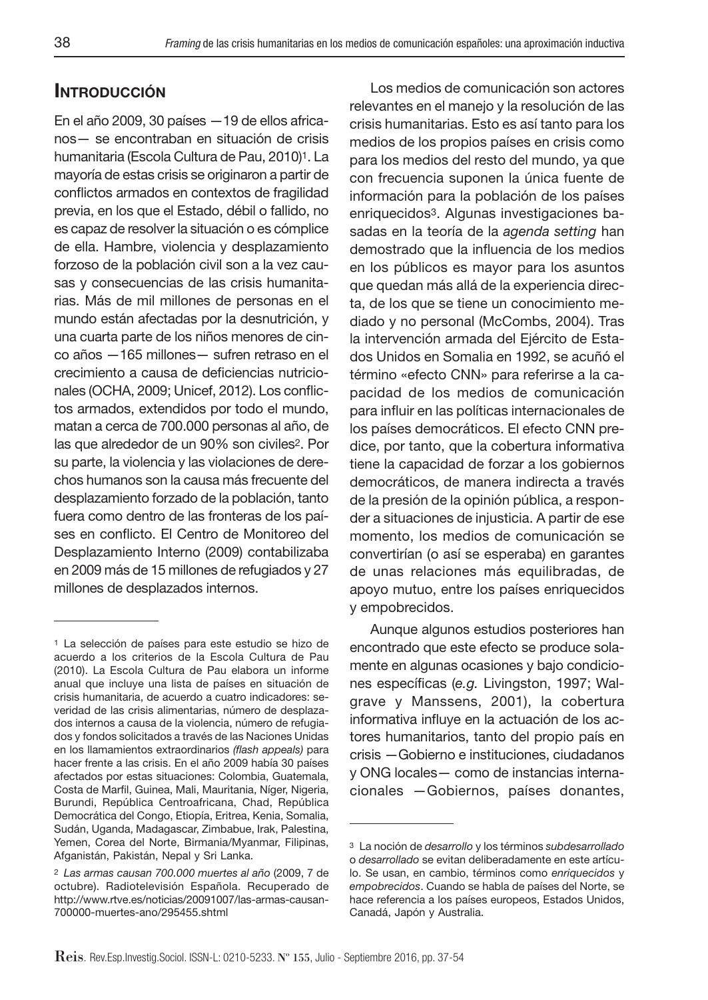# **INTRODUCCIÓN**

En el año 2009, 30 países —19 de ellos africanos— se encontraban en situación de crisis humanitaria (Escola Cultura de Pau, 2010)<sup>1</sup>. La mayoría de estas crisis se originaron a partir de conflictos armados en contextos de fragilidad previa, en los que el Estado, débil o fallido, no es capaz de resolver la situación o es cómplice de ella. Hambre, violencia y desplazamiento forzoso de la población civil son a la vez causas y consecuencias de las crisis humanitarias. Más de mil millones de personas en el mundo están afectadas por la desnutrición, y una cuarta parte de los niños menores de cinco años —165 millones— sufren retraso en el crecimiento a causa de deficiencias nutricionales (OCHA, 2009; Unicef, 2012). Los conflictos armados, extendidos por todo el mundo, matan a cerca de 700.000 personas al año, de las que alrededor de un 90% son civiles2. Por su parte, la violencia y las violaciones de derechos humanos son la causa más frecuente del desplazamiento forzado de la población, tanto fuera como dentro de las fronteras de los países en conflicto. El Centro de Monitoreo del Desplazamiento Interno (2009) contabilizaba en 2009 más de 15 millones de refugiados y 27 millones de desplazados internos.

Los medios de comunicación son actores relevantes en el manejo y la resolución de las crisis humanitarias. Esto es así tanto para los medios de los propios países en crisis como para los medios del resto del mundo, ya que con frecuencia suponen la única fuente de información para la población de los países enriquecidos3. Algunas investigaciones basadas en la teoría de la agenda setting han demostrado que la influencia de los medios en los públicos es mayor para los asuntos que quedan más allá de la experiencia directa, de los que se tiene un conocimiento mediado y no personal (McCombs, 2004). Tras la intervención armada del Ejército de Estados Unidos en Somalia en 1992, se acuñó el término «efecto CNN» para referirse a la capacidad de los medios de comunicación para influir en las políticas internacionales de los países democráticos. El efecto CNN predice, por tanto, que la cobertura informativa tiene la capacidad de forzar a los gobiernos democráticos, de manera indirecta a través de la presión de la opinión pública, a responder a situaciones de injusticia. A partir de ese momento, los medios de comunicación se convertirían (o así se esperaba) en garantes de unas relaciones más equilibradas, de apoyo mutuo, entre los países enriquecidos y empobrecidos.

Aunque algunos estudios posteriores han encontrado que este efecto se produce solamente en algunas ocasiones y bajo condiciones específicas (e.g. Livingston, 1997; Walgrave y Manssens, 2001), la cobertura informativa influye en la actuación de los actores humanitarios, tanto del propio país en crisis —Gobierno e instituciones, ciudadanos y ONG locales— como de instancias internacionales —Gobiernos, países donantes,

<sup>1</sup> La selección de países para este estudio se hizo de acuerdo a los criterios de la Escola Cultura de Pau (2010). La Escola Cultura de Pau elabora un informe anual que incluye una lista de países en situación de crisis humanitaria, de acuerdo a cuatro indicadores: severidad de las crisis alimentarias, número de desplazados internos a causa de la violencia, número de refugiados y fondos solicitados a través de las Naciones Unidas en los llamamientos extraordinarios (flash appeals) para hacer frente a las crisis. En el año 2009 había 30 países afectados por estas situaciones: Colombia, Guatemala, Costa de Marfil, Guinea, Mali, Mauritania, Níger, Nigeria, Burundi, República Centroafricana, Chad, República Democrática del Congo, Etiopía, Eritrea, Kenia, Somalia, Sudán, Uganda, Madagascar, Zimbabue, Irak, Palestina, Yemen, Corea del Norte, Birmania/Myanmar, Filipinas, Afganistán, Pakistán, Nepal y Sri Lanka.

<sup>2</sup> Las armas causan 700.000 muertes al año (2009, 7 de octubre). Radiotelevisión Española. Recuperado de http://www.rtve.es/noticias/20091007/las-armas-causan-700000-muertes-ano/295455.shtml

<sup>3</sup> La noción de desarrollo y los términos subdesarrollado o desarrollado se evitan deliberadamente en este artículo. Se usan, en cambio, términos como enriquecidos y empobrecidos. Cuando se habla de países del Norte, se hace referencia a los países europeos, Estados Unidos, Canadá, Japón y Australia.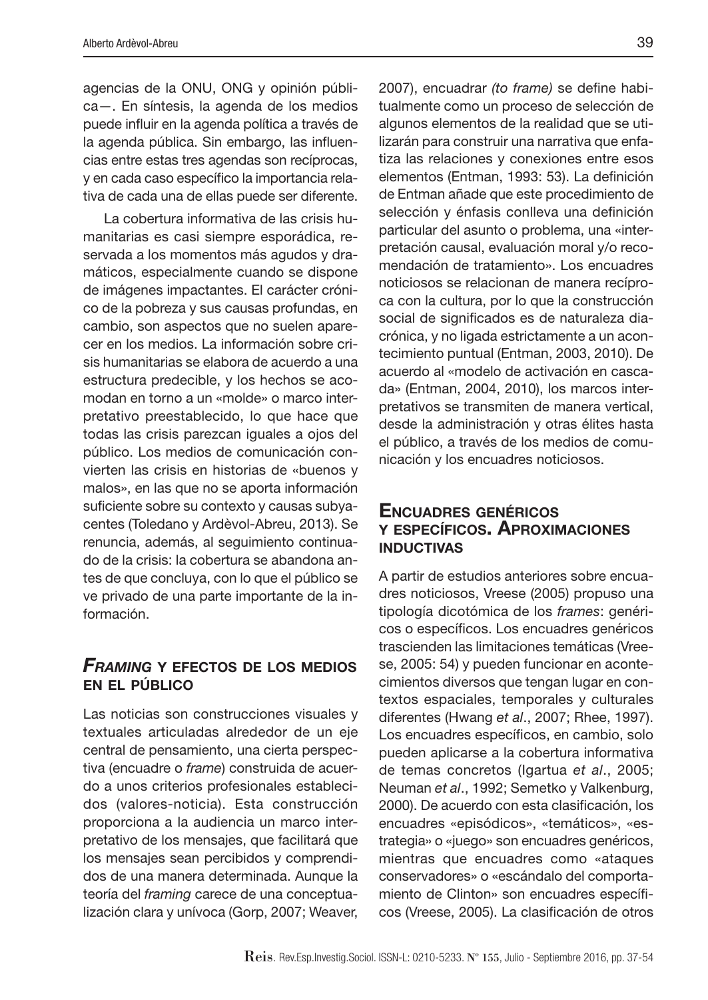agencias de la ONU, ONG y opinión pública—. En síntesis, la agenda de los medios puede influir en la agenda política a través de la agenda pública. Sin embargo, las influencias entre estas tres agendas son recíprocas, y en cada caso específico la importancia relativa de cada una de ellas puede ser diferente.

La cobertura informativa de las crisis humanitarias es casi siempre esporádica, reservada a los momentos más agudos y dramáticos, especialmente cuando se dispone de imágenes impactantes. El carácter crónico de la pobreza y sus causas profundas, en cambio, son aspectos que no suelen aparecer en los medios. La información sobre crisis humanitarias se elabora de acuerdo a una estructura predecible, y los hechos se acomodan en torno a un «molde» o marco interpretativo preestablecido, lo que hace que todas las crisis parezcan iguales a ojos del público. Los medios de comunicación convierten las crisis en historias de «buenos y malos», en las que no se aporta información suficiente sobre su contexto y causas subyacentes (Toledano y Ardèvol-Abreu, 2013). Se renuncia, además, al seguimiento continuado de la crisis: la cobertura se abandona antes de que concluya, con lo que el público se ve privado de una parte importante de la información.

### *FRAMING* **<sup>Y</sup> EFECTOS DE LOS MEDIOS EN EL PÚBLICO**

Las noticias son construcciones visuales y textuales articuladas alrededor de un eje central de pensamiento, una cierta perspectiva (encuadre o frame) construida de acuerdo a unos criterios profesionales establecidos (valores-noticia). Esta construcción proporciona a la audiencia un marco interpretativo de los mensajes, que facilitará que los mensajes sean percibidos y comprendidos de una manera determinada. Aunque la teoría del framing carece de una conceptualización clara y unívoca (Gorp, 2007; Weaver, 2007), encuadrar (to frame) se define habitualmente como un proceso de selección de algunos elementos de la realidad que se utilizarán para construir una narrativa que enfatiza las relaciones y conexiones entre esos elementos (Entman, 1993: 53). La definición de Entman añade que este procedimiento de selección y énfasis conlleva una definición particular del asunto o problema, una «interpretación causal, evaluación moral y/o recomendación de tratamiento». Los encuadres noticiosos se relacionan de manera recíproca con la cultura, por lo que la construcción social de significados es de naturaleza diacrónica, y no ligada estrictamente a un acontecimiento puntual (Entman, 2003, 2010). De acuerdo al «modelo de activación en cascada» (Entman, 2004, 2010), los marcos interpretativos se transmiten de manera vertical, desde la administración y otras élites hasta el público, a través de los medios de comunicación y los encuadres noticiosos.

### **ENCUADRES GENÉRICOS Y ESPECÍFICOS. APROXIMACIONES INDUCTIVAS**

A partir de estudios anteriores sobre encuadres noticiosos, Vreese (2005) propuso una tipología dicotómica de los frames: genéricos o específicos. Los encuadres genéricos trascienden las limitaciones temáticas (Vreese, 2005: 54) y pueden funcionar en acontecimientos diversos que tengan lugar en contextos espaciales, temporales y culturales diferentes (Hwang et al., 2007; Rhee, 1997). Los encuadres específicos, en cambio, solo pueden aplicarse a la cobertura informativa de temas concretos (Igartua et al., 2005; Neuman et al., 1992; Semetko y Valkenburg, 2000). De acuerdo con esta clasificación, los encuadres «episódicos», «temáticos», «estrategia» o «juego» son encuadres genéricos, mientras que encuadres como «ataques conservadores» o «escándalo del comportamiento de Clinton» son encuadres específicos (Vreese, 2005). La clasificación de otros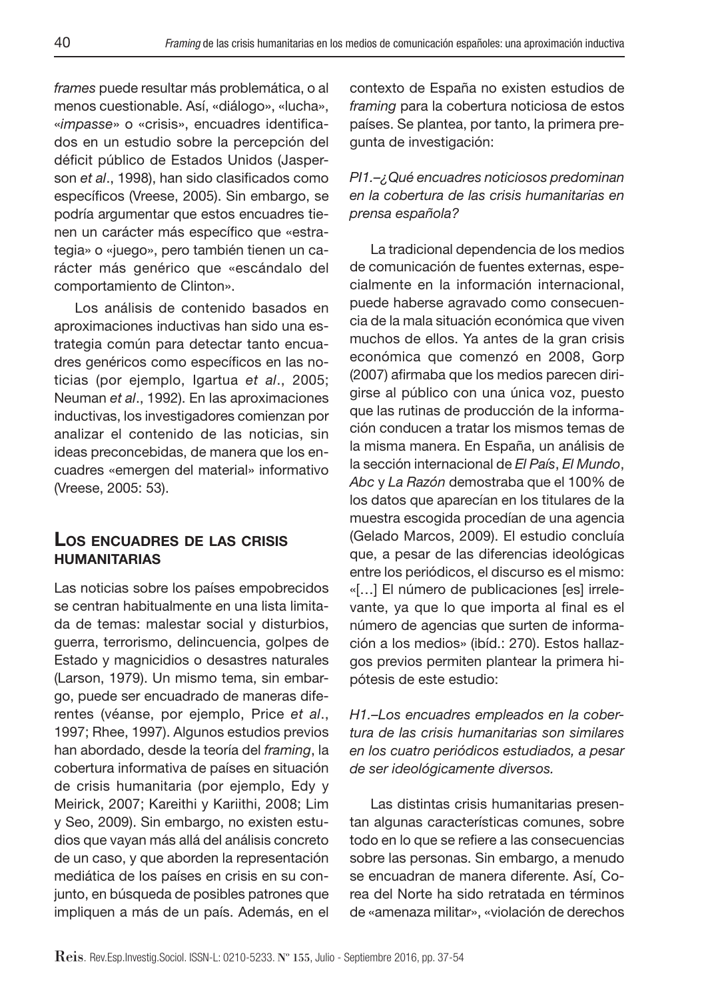frames puede resultar más problemática, o al menos cuestionable. Así, «diálogo», «lucha», «impasse» o «crisis», encuadres identificados en un estudio sobre la percepción del déficit público de Estados Unidos (Jasperson et al., 1998), han sido clasificados como específicos (Vreese, 2005). Sin embargo, se podría argumentar que estos encuadres tienen un carácter más específico que «estrategia» o «juego», pero también tienen un carácter más genérico que «escándalo del comportamiento de Clinton».

Los análisis de contenido basados en aproximaciones inductivas han sido una estrategia común para detectar tanto encuadres genéricos como específicos en las noticias (por ejemplo, Igartua et al., 2005; Neuman et al., 1992). En las aproximaciones inductivas, los investigadores comienzan por analizar el contenido de las noticias, sin ideas preconcebidas, de manera que los encuadres «emergen del material» informativo (Vreese, 2005: 53).

### **LOS ENCUADRES DE LAS CRISIS HUMANITARIAS**

Las noticias sobre los países empobrecidos se centran habitualmente en una lista limitada de temas: malestar social y disturbios, guerra, terrorismo, delincuencia, golpes de Estado y magnicidios o desastres naturales (Larson, 1979). Un mismo tema, sin embargo, puede ser encuadrado de maneras diferentes (véanse, por ejemplo, Price et al., 1997; Rhee, 1997). Algunos estudios previos han abordado, desde la teoría del framing, la cobertura informativa de países en situación de crisis humanitaria (por ejemplo, Edy y Meirick, 2007; Kareithi y Kariithi, 2008; Lim y Seo, 2009). Sin embargo, no existen estudios que vayan más allá del análisis concreto de un caso, y que aborden la representación mediática de los países en crisis en su conjunto, en búsqueda de posibles patrones que impliquen a más de un país. Además, en el

contexto de España no existen estudios de framing para la cobertura noticiosa de estos países. Se plantea, por tanto, la primera pregunta de investigación:

### PI1.–¿Qué encuadres noticiosos predominan en la cobertura de las crisis humanitarias en prensa española?

La tradicional dependencia de los medios de comunicación de fuentes externas, especialmente en la información internacional, puede haberse agravado como consecuencia de la mala situación económica que viven muchos de ellos. Ya antes de la gran crisis económica que comenzó en 2008, Gorp (2007) afirmaba que los medios parecen dirigirse al público con una única voz, puesto que las rutinas de producción de la información conducen a tratar los mismos temas de la misma manera. En España, un análisis de la sección internacional de El País, El Mundo, Abc y La Razón demostraba que el 100% de los datos que aparecían en los titulares de la muestra escogida procedían de una agencia (Gelado Marcos, 2009). El estudio concluía que, a pesar de las diferencias ideológicas entre los periódicos, el discurso es el mismo: «[…] El número de publicaciones [es] irrelevante, ya que lo que importa al final es el número de agencias que surten de información a los medios» (ibíd.: 270). Estos hallazgos previos permiten plantear la primera hipótesis de este estudio:

H1.–Los encuadres empleados en la cobertura de las crisis humanitarias son similares en los cuatro periódicos estudiados, a pesar de ser ideológicamente diversos.

Las distintas crisis humanitarias presentan algunas características comunes, sobre todo en lo que se refiere a las consecuencias sobre las personas. Sin embargo, a menudo se encuadran de manera diferente. Así, Corea del Norte ha sido retratada en términos de «amenaza militar», «violación de derechos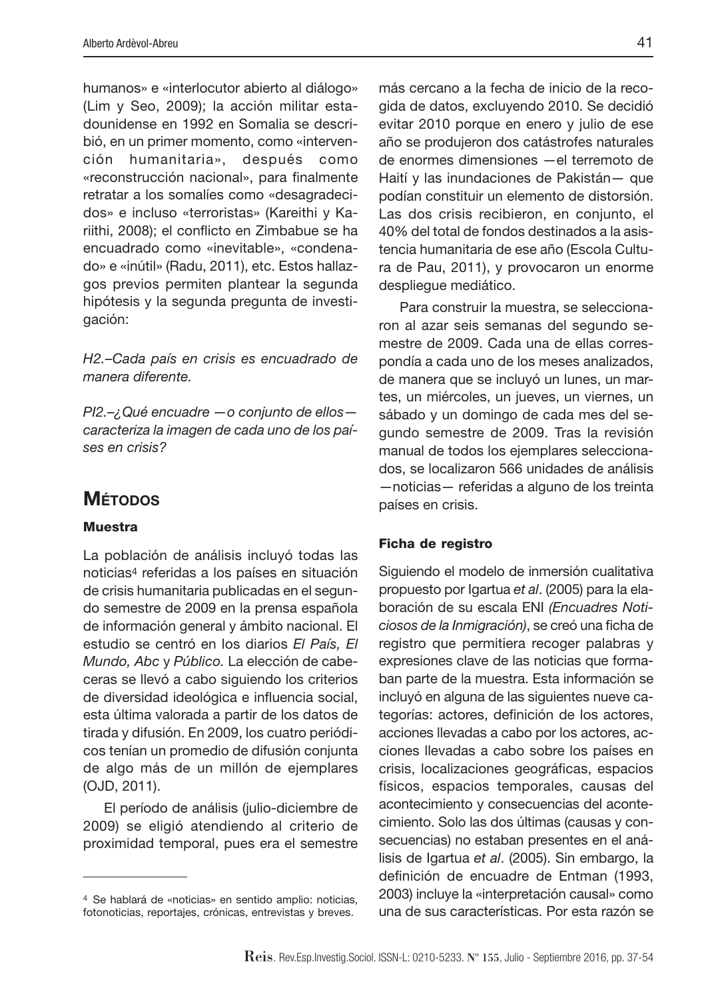humanos» e «interlocutor abierto al diálogo» (Lim y Seo, 2009); la acción militar estadounidense en 1992 en Somalia se describió, en un primer momento, como «intervención humanitaria», después como «reconstrucción nacional», para finalmente retratar a los somalíes como «desagradecidos» e incluso «terroristas» (Kareithi y Kariithi, 2008); el conflicto en Zimbabue se ha encuadrado como «inevitable», «condenado» e «inútil» (Radu, 2011), etc. Estos hallazgos previos permiten plantear la segunda hipótesis y la segunda pregunta de investigación:

H2.–Cada país en crisis es encuadrado de manera diferente.

PI2.–¿Qué encuadre —o conjunto de ellos caracteriza la imagen de cada uno de los países en crisis?

# **MÉTODOS**

#### **Muestra**

La población de análisis incluyó todas las noticias4 referidas a los países en situación de crisis humanitaria publicadas en el segundo semestre de 2009 en la prensa española de información general y ámbito nacional. El estudio se centró en los diarios El País, El Mundo, Abc y Público. La elección de cabeceras se llevó a cabo siguiendo los criterios de diversidad ideológica e influencia social, esta última valorada a partir de los datos de tirada y difusión. En 2009, los cuatro periódicos tenían un promedio de difusión conjunta de algo más de un millón de ejemplares (OJD, 2011).

El período de análisis (julio-diciembre de 2009) se eligió atendiendo al criterio de proximidad temporal, pues era el semestre

más cercano a la fecha de inicio de la recogida de datos, excluyendo 2010. Se decidió evitar 2010 porque en enero y julio de ese año se produjeron dos catástrofes naturales de enormes dimensiones —el terremoto de Haití y las inundaciones de Pakistán— que podían constituir un elemento de distorsión. Las dos crisis recibieron, en conjunto, el 40% del total de fondos destinados a la asistencia humanitaria de ese año (Escola Cultura de Pau, 2011), y provocaron un enorme despliegue mediático.

Para construir la muestra, se seleccionaron al azar seis semanas del segundo semestre de 2009. Cada una de ellas correspondía a cada uno de los meses analizados, de manera que se incluyó un lunes, un martes, un miércoles, un jueves, un viernes, un sábado y un domingo de cada mes del segundo semestre de 2009. Tras la revisión manual de todos los ejemplares seleccionados, se localizaron 566 unidades de análisis —noticias— referidas a alguno de los treinta países en crisis.

#### **Ficha de registro**

Siguiendo el modelo de inmersión cualitativa propuesto por Igartua et al. (2005) para la elaboración de su escala ENI (Encuadres Noticiosos de la Inmigración), se creó una ficha de registro que permitiera recoger palabras y expresiones clave de las noticias que formaban parte de la muestra. Esta información se incluyó en alguna de las siguientes nueve categorías: actores, definición de los actores, acciones llevadas a cabo por los actores, acciones llevadas a cabo sobre los países en crisis, localizaciones geográficas, espacios físicos, espacios temporales, causas del acontecimiento y consecuencias del acontecimiento. Solo las dos últimas (causas y consecuencias) no estaban presentes en el análisis de Igartua et al. (2005). Sin embargo, la definición de encuadre de Entman (1993, 2003) incluye la «interpretación causal» como una de sus características. Por esta razón se

<sup>4</sup> Se hablará de «noticias» en sentido amplio: noticias, fotonoticias, reportajes, crónicas, entrevistas y breves.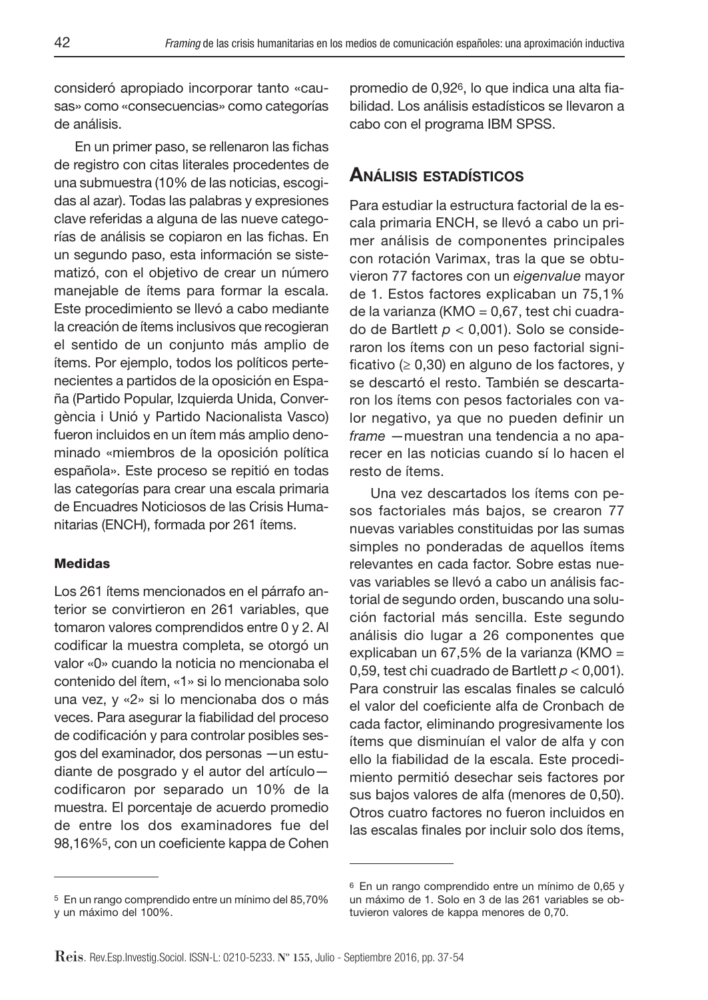consideró apropiado incorporar tanto «causas» como «consecuencias» como categorías de análisis.

En un primer paso, se rellenaron las fichas de registro con citas literales procedentes de una submuestra (10% de las noticias, escogidas al azar). Todas las palabras y expresiones clave referidas a alguna de las nueve categorías de análisis se copiaron en las fichas. En un segundo paso, esta información se sistematizó, con el objetivo de crear un número manejable de ítems para formar la escala. Este procedimiento se llevó a cabo mediante la creación de ítems inclusivos que recogieran el sentido de un conjunto más amplio de ítems. Por ejemplo, todos los políticos pertenecientes a partidos de la oposición en España (Partido Popular, Izquierda Unida, Convergència i Unió y Partido Nacionalista Vasco) fueron incluidos en un ítem más amplio denominado «miembros de la oposición política española». Este proceso se repitió en todas las categorías para crear una escala primaria de Encuadres Noticiosos de las Crisis Humanitarias (ENCH), formada por 261 ítems.

### **Medidas**

Los 261 ítems mencionados en el párrafo anterior se convirtieron en 261 variables, que tomaron valores comprendidos entre 0 y 2. Al codificar la muestra completa, se otorgó un valor «0» cuando la noticia no mencionaba el contenido del ítem, «1» si lo mencionaba solo una vez, y «2» si lo mencionaba dos o más veces. Para asegurar la fiabilidad del proceso de codificación y para controlar posibles sesgos del examinador, dos personas —un estudiante de posgrado y el autor del artículo codificaron por separado un 10% de la muestra. El porcentaje de acuerdo promedio de entre los dos examinadores fue del 98,16%<sup>5</sup>, con un coeficiente kappa de Cohen

promedio de 0,92<sup>6</sup>, lo que indica una alta fiabilidad. Los análisis estadísticos se llevaron a cabo con el programa IBM SPSS.

# **ANÁLISIS ESTADÍSTICOS**

Para estudiar la estructura factorial de la escala primaria ENCH, se llevó a cabo un primer análisis de componentes principales con rotación Varimax, tras la que se obtuvieron 77 factores con un eigenvalue mayor de 1. Estos factores explicaban un 75,1% de la varianza (KMO = 0,67, test chi cuadrado de Bartlett  $p < 0.001$ ). Solo se consideraron los ítems con un peso factorial significativo ( $\geq 0,30$ ) en alguno de los factores, y se descartó el resto. También se descartaron los ítems con pesos factoriales con valor negativo, ya que no pueden definir un frame —muestran una tendencia a no aparecer en las noticias cuando sí lo hacen el resto de ítems.

Una vez descartados los ítems con pesos factoriales más bajos, se crearon 77 nuevas variables constituidas por las sumas simples no ponderadas de aquellos ítems relevantes en cada factor. Sobre estas nuevas variables se llevó a cabo un análisis factorial de segundo orden, buscando una solución factorial más sencilla. Este segundo análisis dio lugar a 26 componentes que explicaban un 67,5% de la varianza (KMO = 0,59, test chi cuadrado de Bartlett  $p < 0,001$ ). Para construir las escalas finales se calculó el valor del coeficiente alfa de Cronbach de cada factor, eliminando progresivamente los ítems que disminuían el valor de alfa y con ello la fiabilidad de la escala. Este procedimiento permitió desechar seis factores por sus bajos valores de alfa (menores de 0,50). Otros cuatro factores no fueron incluidos en las escalas finales por incluir solo dos ítems,

<sup>5</sup> En un rango comprendido entre un mínimo del 85,70% y un máximo del 100%.

<sup>6</sup> En un rango comprendido entre un mínimo de 0,65 y un máximo de 1. Solo en 3 de las 261 variables se obtuvieron valores de kappa menores de 0,70.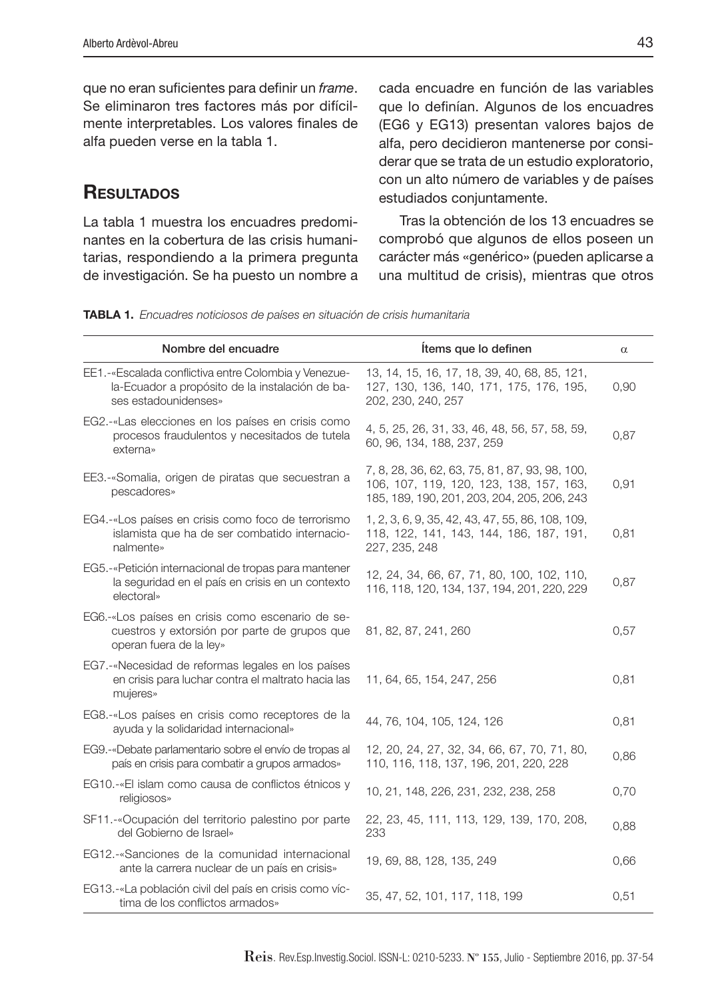que no eran suficientes para definir un frame. Se eliminaron tres factores más por difícilmente interpretables. Los valores finales de alfa pueden verse en la tabla 1.

# **RESULTADOS**

La tabla 1 muestra los encuadres predominantes en la cobertura de las crisis humanitarias, respondiendo a la primera pregunta de investigación. Se ha puesto un nombre a cada encuadre en función de las variables que lo definían. Algunos de los encuadres (EG6 y EG13) presentan valores bajos de alfa, pero decidieron mantenerse por considerar que se trata de un estudio exploratorio, con un alto número de variables y de países estudiados conjuntamente.

Tras la obtención de los 13 encuadres se comprobó que algunos de ellos poseen un carácter más «genérico» (pueden aplicarse a una multitud de crisis), mientras que otros

**TABLA 1.** Encuadres noticiosos de países en situación de crisis humanitaria

| Nombre del encuadre                                                                                                             | Items que lo definen                                                                                                                     | $\alpha$ |
|---------------------------------------------------------------------------------------------------------------------------------|------------------------------------------------------------------------------------------------------------------------------------------|----------|
| EE1.-«Escalada conflictiva entre Colombia y Venezue-<br>la-Ecuador a propósito de la instalación de ba-<br>ses estadounidenses» | 13, 14, 15, 16, 17, 18, 39, 40, 68, 85, 121,<br>127, 130, 136, 140, 171, 175, 176, 195,<br>202, 230, 240, 257                            | 0,90     |
| EG2.-«Las elecciones en los países en crisis como<br>procesos fraudulentos y necesitados de tutela<br>externa»                  | 4, 5, 25, 26, 31, 33, 46, 48, 56, 57, 58, 59,<br>60, 96, 134, 188, 237, 259                                                              | 0,87     |
| EE3.-«Somalia, origen de piratas que secuestran a<br>pescadores»                                                                | 7, 8, 28, 36, 62, 63, 75, 81, 87, 93, 98, 100,<br>106, 107, 119, 120, 123, 138, 157, 163,<br>185, 189, 190, 201, 203, 204, 205, 206, 243 | 0,91     |
| EG4.-«Los países en crisis como foco de terrorismo<br>islamista que ha de ser combatido internacio-<br>nalmente»                | 1, 2, 3, 6, 9, 35, 42, 43, 47, 55, 86, 108, 109,<br>118, 122, 141, 143, 144, 186, 187, 191,<br>227, 235, 248                             | 0,81     |
| EG5.-«Petición internacional de tropas para mantener<br>la seguridad en el país en crisis en un contexto<br>electoral»          | 12, 24, 34, 66, 67, 71, 80, 100, 102, 110,<br>116, 118, 120, 134, 137, 194, 201, 220, 229                                                | 0,87     |
| EG6.-«Los países en crisis como escenario de se-<br>cuestros y extorsión por parte de grupos que<br>operan fuera de la ley»     | 81, 82, 87, 241, 260                                                                                                                     | 0,57     |
| EG7.-«Necesidad de reformas legales en los países<br>en crisis para luchar contra el maltrato hacia las<br>mujeres»             | 11, 64, 65, 154, 247, 256                                                                                                                | 0,81     |
| EG8.-«Los países en crisis como receptores de la<br>ayuda y la solidaridad internacional»                                       | 44, 76, 104, 105, 124, 126                                                                                                               | 0,81     |
| EG9.-«Debate parlamentario sobre el envío de tropas al<br>país en crisis para combatir a grupos armados»                        | 12, 20, 24, 27, 32, 34, 66, 67, 70, 71, 80,<br>110, 116, 118, 137, 196, 201, 220, 228                                                    | 0,86     |
| EG10.-«El islam como causa de conflictos étnicos y<br>religiosos»                                                               | 10, 21, 148, 226, 231, 232, 238, 258                                                                                                     | 0,70     |
| SF11.-«Ocupación del territorio palestino por parte<br>del Gobierno de Israel»                                                  | 22, 23, 45, 111, 113, 129, 139, 170, 208,<br>233                                                                                         | 0,88     |
| EG12.-«Sanciones de la comunidad internacional<br>ante la carrera nuclear de un país en crisis»                                 | 19, 69, 88, 128, 135, 249                                                                                                                | 0,66     |
| EG13.-«La población civil del país en crisis como víc-<br>tima de los conflictos armados»                                       | 35, 47, 52, 101, 117, 118, 199                                                                                                           | 0,51     |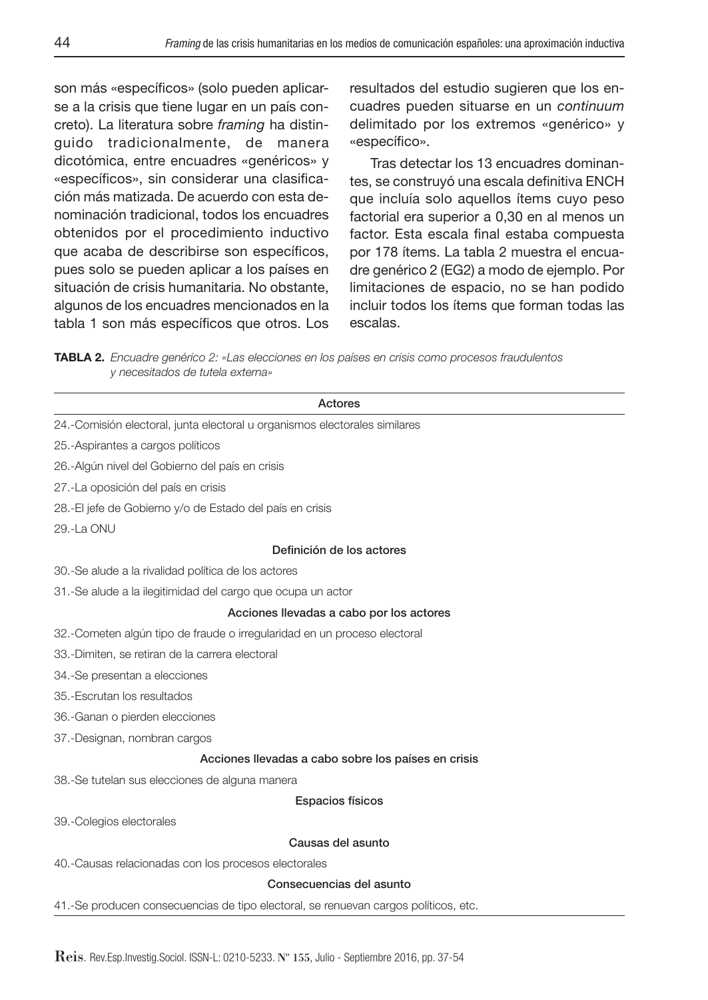son más «específicos» (solo pueden aplicarse a la crisis que tiene lugar en un país concreto). La literatura sobre framing ha distinguido tradicionalmente, de manera dicotómica, entre encuadres «genéricos» y «específicos», sin considerar una clasificación más matizada. De acuerdo con esta denominación tradicional, todos los encuadres obtenidos por el procedimiento inductivo que acaba de describirse son específicos, pues solo se pueden aplicar a los países en situación de crisis humanitaria. No obstante, algunos de los encuadres mencionados en la tabla 1 son más específicos que otros. Los

resultados del estudio sugieren que los encuadres pueden situarse en un continuum delimitado por los extremos «genérico» y «específico».

Tras detectar los 13 encuadres dominantes, se construyó una escala definitiva ENCH que incluía solo aquellos ítems cuyo peso factorial era superior a 0,30 en al menos un factor. Esta escala final estaba compuesta por 178 ítems. La tabla 2 muestra el encuadre genérico 2 (EG2) a modo de ejemplo. Por limitaciones de espacio, no se han podido incluir todos los ítems que forman todas las escalas.

**TABLA 2.** Encuadre genérico 2: «Las elecciones en los países en crisis como procesos fraudulentos y necesitados de tutela externa»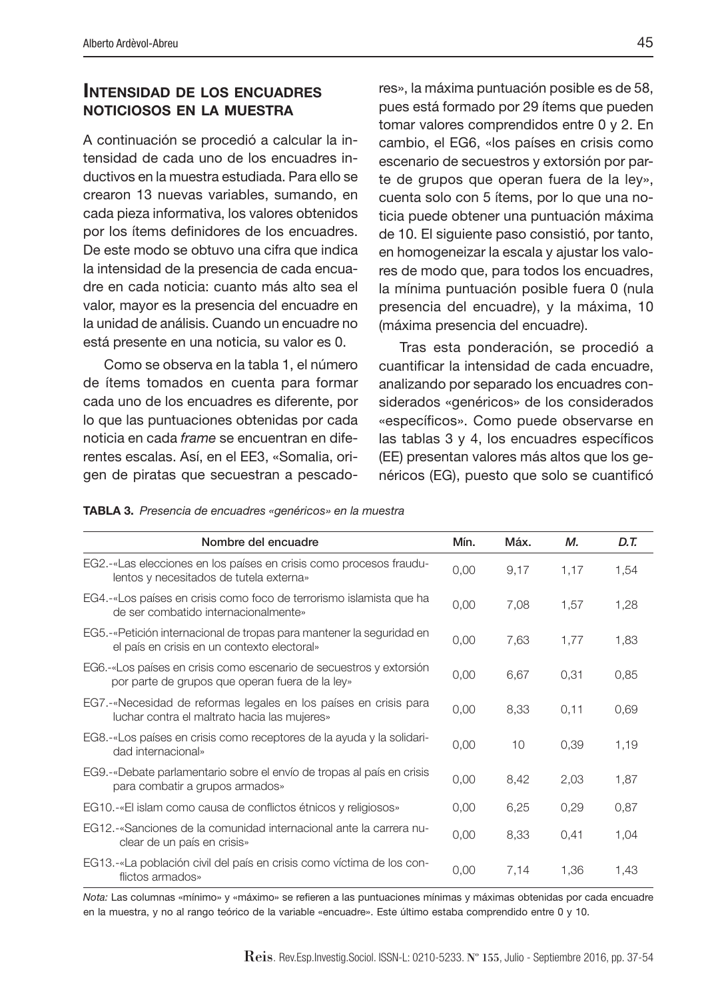### **INTENSIDAD DE LOS ENCUADRES NOTICIOSOS EN LA MUESTRA**

A continuación se procedió a calcular la intensidad de cada uno de los encuadres inductivos en la muestra estudiada. Para ello se crearon 13 nuevas variables, sumando, en cada pieza informativa, los valores obtenidos por los ítems definidores de los encuadres. De este modo se obtuvo una cifra que indica la intensidad de la presencia de cada encuadre en cada noticia: cuanto más alto sea el valor, mayor es la presencia del encuadre en la unidad de análisis. Cuando un encuadre no está presente en una noticia, su valor es 0.

Como se observa en la tabla 1, el número de ítems tomados en cuenta para formar cada uno de los encuadres es diferente, por lo que las puntuaciones obtenidas por cada noticia en cada frame se encuentran en diferentes escalas. Así, en el EE3, «Somalia, origen de piratas que secuestran a pescadores», la máxima puntuación posible es de 58, pues está formado por 29 ítems que pueden tomar valores comprendidos entre 0 y 2. En cambio, el EG6, «los países en crisis como escenario de secuestros y extorsión por parte de grupos que operan fuera de la ley», cuenta solo con 5 ítems, por lo que una noticia puede obtener una puntuación máxima de 10. El siguiente paso consistió, por tanto, en homogeneizar la escala y ajustar los valores de modo que, para todos los encuadres, la mínima puntuación posible fuera 0 (nula presencia del encuadre), y la máxima, 10 (máxima presencia del encuadre).

Tras esta ponderación, se procedió a cuantificar la intensidad de cada encuadre. analizando por separado los encuadres considerados «genéricos» de los considerados «específicos». Como puede observarse en las tablas  $3 \vee 4$ , los encuadres específicos (EE) presentan valores más altos que los genéricos (EG), puesto que solo se cuantificó

|  |  |  | TABLA 3. Presencia de encuadres «genéricos» en la muestra |  |  |
|--|--|--|-----------------------------------------------------------|--|--|
|--|--|--|-----------------------------------------------------------|--|--|

| Nombre del encuadre                                                                                                    | Mín. | Máx. | М.   | D.T. |
|------------------------------------------------------------------------------------------------------------------------|------|------|------|------|
| EG2.-«Las elecciones en los países en crisis como procesos fraudu-<br>lentos y necesitados de tutela externa»          | 0,00 | 9,17 | 1,17 | 1,54 |
| EG4.-«Los países en crisis como foco de terrorismo islamista que ha<br>de ser combatido internacionalmente»            | 0,00 | 7,08 | 1,57 | 1,28 |
| EG5.-«Petición internacional de tropas para mantener la seguridad en<br>el país en crisis en un contexto electoral»    | 0,00 | 7,63 | 1,77 | 1,83 |
| EG6.-«Los países en crisis como escenario de secuestros y extorsión<br>por parte de grupos que operan fuera de la ley» | 0,00 | 6,67 | 0,31 | 0,85 |
| EG7.-«Necesidad de reformas legales en los países en crisis para<br>luchar contra el maltrato hacia las mujeres»       | 0,00 | 8,33 | 0,11 | 0.69 |
| EG8.-«Los países en crisis como receptores de la ayuda y la solidari-<br>dad internacional»                            | 0.00 | 10   | 0,39 | 1,19 |
| EG9.-«Debate parlamentario sobre el envío de tropas al país en crisis<br>para combatir a grupos armados»               | 0,00 | 8.42 | 2,03 | 1,87 |
| EG10.-«El islam como causa de conflictos étnicos y religiosos»                                                         | 0,00 | 6,25 | 0,29 | 0,87 |
| EG12.-«Sanciones de la comunidad internacional ante la carrera nu-<br>clear de un país en crisis»                      | 0,00 | 8,33 | 0,41 | 1,04 |
| EG13.-«La población civil del país en crisis como víctima de los con-<br>flictos armados»                              | 0.00 | 7,14 | 1,36 | 1,43 |

Nota: Las columnas «mínimo» y «máximo» se refieren a las puntuaciones mínimas y máximas obtenidas por cada encuadre en la muestra, y no al rango teórico de la variable «encuadre». Este último estaba comprendido entre 0 y 10.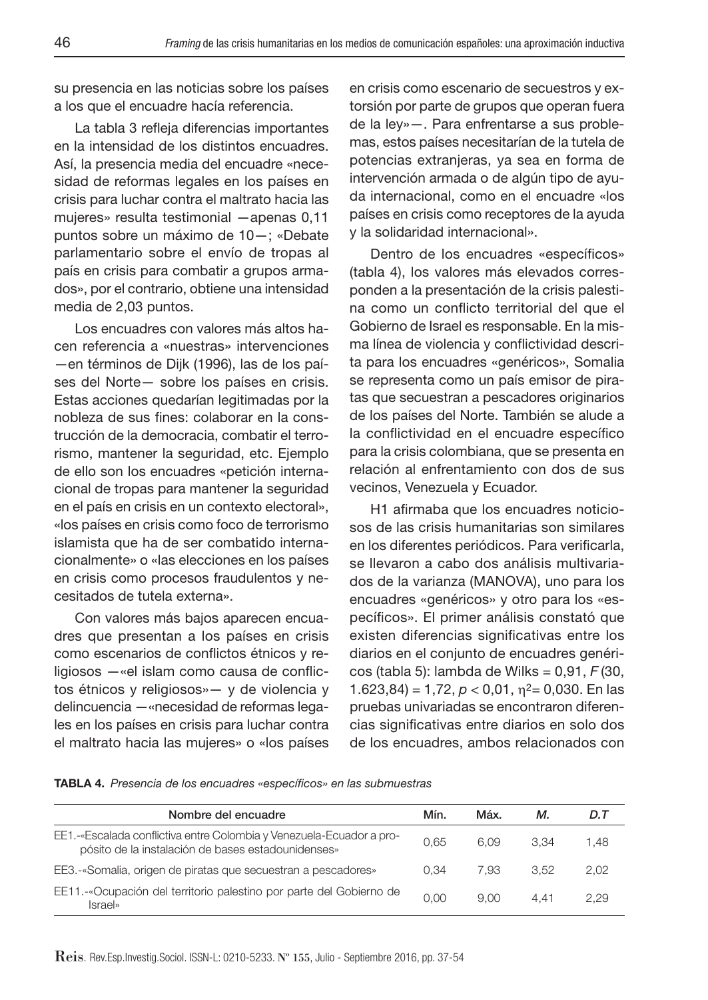su presencia en las noticias sobre los países a los que el encuadre hacía referencia.

La tabla 3 refleja diferencias importantes en la intensidad de los distintos encuadres. Así, la presencia media del encuadre «necesidad de reformas legales en los países en crisis para luchar contra el maltrato hacia las mujeres» resulta testimonial —apenas 0,11 puntos sobre un máximo de 10—; «Debate parlamentario sobre el envío de tropas al país en crisis para combatir a grupos armados», por el contrario, obtiene una intensidad media de 2,03 puntos.

Los encuadres con valores más altos hacen referencia a «nuestras» intervenciones —en términos de Dijk (1996), las de los países del Norte— sobre los países en crisis. Estas acciones quedarían legitimadas por la nobleza de sus fines: colaborar en la construcción de la democracia, combatir el terrorismo, mantener la seguridad, etc. Ejemplo de ello son los encuadres «petición internacional de tropas para mantener la seguridad en el país en crisis en un contexto electoral», «los países en crisis como foco de terrorismo islamista que ha de ser combatido internacionalmente» o «las elecciones en los países en crisis como procesos fraudulentos y necesitados de tutela externa».

Con valores más bajos aparecen encuadres que presentan a los países en crisis como escenarios de conflictos étnicos y religiosos — «el islam como causa de conflictos étnicos y religiosos»— y de violencia y delincuencia —«necesidad de reformas legales en los países en crisis para luchar contra el maltrato hacia las mujeres» o «los países en crisis como escenario de secuestros y extorsión por parte de grupos que operan fuera de la ley»—. Para enfrentarse a sus problemas, estos países necesitarían de la tutela de potencias extranjeras, ya sea en forma de intervención armada o de algún tipo de ayuda internacional, como en el encuadre «los países en crisis como receptores de la ayuda y la solidaridad internacional».

Dentro de los encuadres «específicos» (tabla 4), los valores más elevados corresponden a la presentación de la crisis palestina como un conflicto territorial del que el Gobierno de Israel es responsable. En la misma línea de violencia y conflictividad descrita para los encuadres «genéricos», Somalia se representa como un país emisor de piratas que secuestran a pescadores originarios de los países del Norte. También se alude a la conflictividad en el encuadre específico para la crisis colombiana, que se presenta en relación al enfrentamiento con dos de sus vecinos, Venezuela y Ecuador.

H1 afirmaba que los encuadres noticiosos de las crisis humanitarias son similares en los diferentes periódicos. Para verificarla, se llevaron a cabo dos análisis multivariados de la varianza (MANOVA), uno para los encuadres «genéricos» y otro para los «específicos». El primer análisis constató que existen diferencias significativas entre los diarios en el conjunto de encuadres genéricos (tabla 5): lambda de Wilks = 0,91, F (30, 1.623,84) = 1,72,  $p < 0.01$ ,  $n^2 = 0.030$ . En las pruebas univariadas se encontraron diferencias significativas entre diarios en solo dos de los encuadres, ambos relacionados con

TABLA 4. Presencia de los encuadres «específicos» en las submuestras

| Nombre del encuadre                                                                                                        | Mín. | Máx. | М.   | D.T  |
|----------------------------------------------------------------------------------------------------------------------------|------|------|------|------|
| EE1.-«Escalada conflictiva entre Colombia y Venezuela-Ecuador a pro-<br>pósito de la instalación de bases estadounidenses» | 0.65 | 6.09 | 3.34 | 1.48 |
| EE3.-«Somalia, origen de piratas que secuestran a pescadores»                                                              | 0.34 | 7.93 | 3.52 | 2.02 |
| EE11.-«Ocupación del territorio palestino por parte del Gobierno de<br><i>Israel</i> »                                     | 0.00 | 9.00 | 4.41 | 2.29 |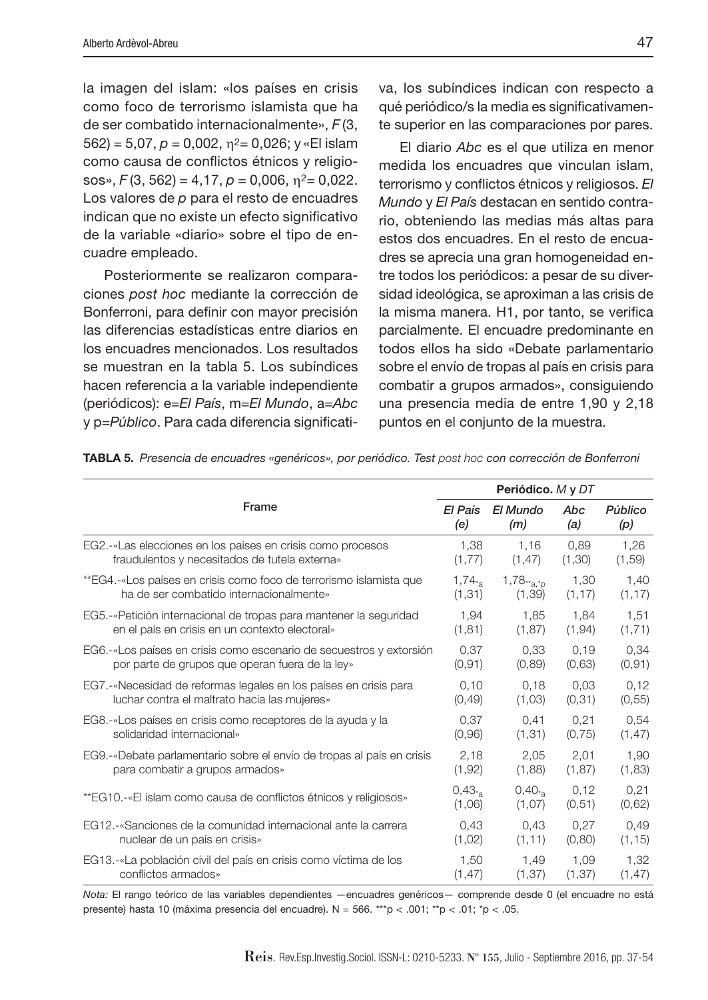la imagen del islam: «los países en crisis como foco de terrorismo islamista que ha de ser combatido internacionalmente», F (3,  $562$ ) = 5,07,  $p = 0,002$ ,  $\eta^2 = 0,026$ ; y «El islam como causa de conflictos étnicos y religiosos»,  $F(3, 562) = 4,17, p = 0,006, \eta^2 = 0,022$ . Los valores de p para el resto de encuadres indican que no existe un efecto significativo de la variable «diario» sobre el tipo de encuadre empleado.

Posteriormente se realizaron comparaciones post hoc mediante la corrección de Bonferroni, para definir con mayor precisión las diferencias estadísticas entre diarios en los encuadres mencionados. Los resultados se muestran en la tabla 5. Los subíndices hacen referencia a la variable independiente (periódicos): e=El País, m=El Mundo, a=Abc y p=Público. Para cada diferencia significativa, los subíndices indican con respecto a qué periódico/s la media es significativamente superior en las comparaciones por pares.

El diario Abc es el que utiliza en menor medida los encuadres que vinculan islam, terrorismo y conflictos étnicos y religiosos. El Mundo y El País destacan en sentido contrario, obteniendo las medias más altas para estos dos encuadres. En el resto de encuadres se aprecia una gran homogeneidad entre todos los periódicos: a pesar de su diversidad ideológica, se aproximan a las crisis de la misma manera. H1, por tanto, se verifica parcialmente. El encuadre predominante en todos ellos ha sido «Debate parlamentario sobre el envío de tropas al país en crisis para combatir a grupos armados», consiguiendo una presencia media de entre 1,90 y 2,18 puntos en el conjunto de la muestra.

|                                                                       | Periódico. M y DT    |                          |         |         |
|-----------------------------------------------------------------------|----------------------|--------------------------|---------|---------|
| Frame                                                                 |                      | El Mundo                 | Abc     | Público |
|                                                                       |                      | (m)                      | (a)     | (p)     |
| EG2.-«Las elecciones en los países en crisis como procesos            | 1,38                 | 1,16                     | 0,89    | 1,26    |
| fraudulentos y necesitados de tutela externa»                         | (1,77)               | (1, 47)                  | (1,30)  | (1,59)  |
| **EG4.-«Los países en crisis como foco de terrorismo islamista que    | $1,74$ <sub>*a</sub> | $1,78$ <sub>**a.*p</sub> | 1.30    | 1.40    |
| ha de ser combatido internacionalmente»                               | (1,31)               | (1, 39)                  | (1, 17) | (1, 17) |
| EG5.-«Petición internacional de tropas para mantener la seguridad     | 1.94                 | 1.85                     | 1.84    | 1.51    |
| en el país en crisis en un contexto electoral»                        | (1, 81)              | (1, 87)                  | (1, 94) | (1, 71) |
| EG6.-«Los países en crisis como escenario de secuestros y extorsión   | 0,37                 | 0,33                     | 0,19    | 0.34    |
| por parte de grupos que operan fuera de la ley»                       | (0.91)               | (0.89)                   | (0,63)  | (0, 91) |
| EG7.-«Necesidad de reformas legales en los países en crisis para      | 0.10                 | 0.18                     | 0.03    | 0.12    |
| luchar contra el maltrato hacia las mujeres»                          | (0, 49)              | (1,03)                   | (0,31)  | (0.55)  |
| EG8.-«Los países en crisis como receptores de la ayuda y la           | 0.37                 | 0,41                     | 0.21    | 0.54    |
| solidaridad internacional»                                            | (0.96)               | (1, 31)                  | (0,75)  | (1, 47) |
| EG9.-«Debate parlamentario sobre el envío de tropas al país en crisis | 2.18                 | 2.05                     | 2,01    | 1.90    |
| para combatir a grupos armados»                                       | (1, 92)              | (1,88)                   | (1, 87) | (1,83)  |
| **EG10.-«El islam como causa de conflictos étnicos y religiosos»      | $0.43_{*}$           | $0,40_{*}$               | 0.12    | 0.21    |
|                                                                       | (1,06)               | (1,07)                   | (0.51)  | (0,62)  |
| EG12.-«Sanciones de la comunidad internacional ante la carrera        | 0.43                 | 0.43                     | 0.27    | 0.49    |
| nuclear de un país en crisis»                                         | (1,02)               | (1, 11)                  | (0,80)  | (1, 15) |
| EG13.-«La población civil del país en crisis como víctima de los      | 1.50                 | 1,49                     | 1.09    | 1.32    |
| conflictos armados»                                                   | (1, 47)              | (1, 37)                  | (1, 37) | (1, 47) |

**TABLA 5.** Presencia de encuadres «genéricos», por periódico. Test post hoc con corrección de Bonferroni

Nota: El rango teórico de las variables dependientes —encuadres genéricos— comprende desde 0 (el encuadre no está presente) hasta 10 (máxima presencia del encuadre). N = 566. \*\*\*p < .001; \*\*p < .01; \*p < .05.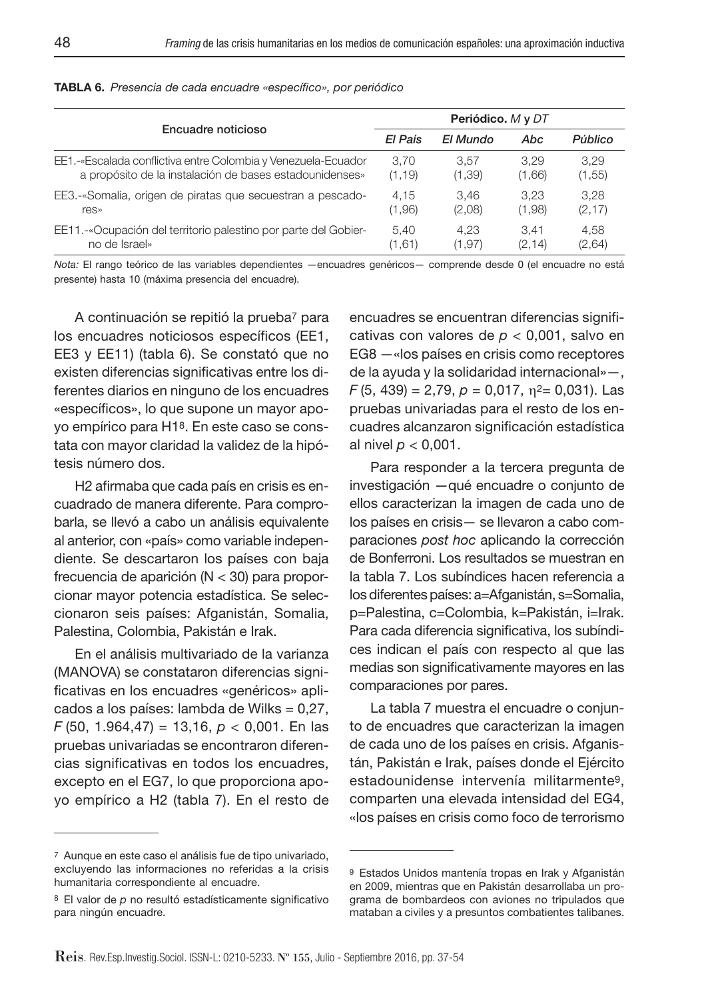| Encuadre noticioso                                              |         | Periódico. M y DT |         |         |  |
|-----------------------------------------------------------------|---------|-------------------|---------|---------|--|
|                                                                 |         | El Mundo          | Abc     | Público |  |
| EE1.-«Escalada conflictiva entre Colombia y Venezuela-Ecuador   | 3.70    | 3.57              | 3.29    | 3.29    |  |
| a propósito de la instalación de bases estadounidenses»         | (1, 19) | (1, 39)           | (1,66)  | (1, 55) |  |
| EE3.-«Somalia, origen de piratas que secuestran a pescado-      | 4.15    | 3.46              | 3.23    | 3.28    |  |
| res»                                                            | (1,96)  | (2,08)            | (1,98)  | (2, 17) |  |
| EE11.-«Ocupación del territorio palestino por parte del Gobier- | 5.40    | 4.23              | 3.41    | 4.58    |  |
| no de Israel»                                                   | (1,61)  | (1, 97)           | (2, 14) | (2,64)  |  |

#### **TABLA 6.** Presencia de cada encuadre «específico», por periódico

Nota: El rango teórico de las variables dependientes —encuadres genéricos— comprende desde 0 (el encuadre no está presente) hasta 10 (máxima presencia del encuadre).

A continuación se repitió la prueba7 para los encuadres noticiosos específicos (EE1, EE3 y EE11) (tabla 6). Se constató que no existen diferencias significativas entre los diferentes diarios en ninguno de los encuadres «específicos», lo que supone un mayor apoyo empírico para H18. En este caso se constata con mayor claridad la validez de la hipótesis número dos.

H2 afirmaba que cada país en crisis es encuadrado de manera diferente. Para comprobarla, se llevó a cabo un análisis equivalente al anterior, con «país» como variable independiente. Se descartaron los países con baja frecuencia de aparición (N < 30) para proporcionar mayor potencia estadística. Se seleccionaron seis países: Afganistán, Somalia, Palestina, Colombia, Pakistán e Irak.

En el análisis multivariado de la varianza (MANOVA) se constataron diferencias significativas en los encuadres «genéricos» aplicados a los países: lambda de Wilks = 0,27,  $F(50, 1.964, 47) = 13,16, p < 0,001$ . En las pruebas univariadas se encontraron diferencias significativas en todos los encuadres, excepto en el EG7, lo que proporciona apoyo empírico a H2 (tabla 7). En el resto de encuadres se encuentran diferencias significativas con valores de  $p < 0.001$ , salvo en EG8 —«los países en crisis como receptores de la ayuda y la solidaridad internacional»—,  $F(5, 439) = 2,79, p = 0,017, \eta^2 = 0,031$ . Las pruebas univariadas para el resto de los encuadres alcanzaron significación estadística al nivel  $p < 0,001$ .

Para responder a la tercera pregunta de investigación —qué encuadre o conjunto de ellos caracterizan la imagen de cada uno de los países en crisis— se llevaron a cabo comparaciones post hoc aplicando la corrección de Bonferroni. Los resultados se muestran en la tabla 7. Los subíndices hacen referencia a los diferentes países: a=Afganistán, s=Somalia, p=Palestina, c=Colombia, k=Pakistán, i=Irak. Para cada diferencia significativa, los subíndices indican el país con respecto al que las medias son significativamente mayores en las comparaciones por pares.

La tabla 7 muestra el encuadre o conjunto de encuadres que caracterizan la imagen de cada uno de los países en crisis. Afganistán, Pakistán e Irak, países donde el Ejército estadounidense intervenía militarmente9, comparten una elevada intensidad del EG4, «los países en crisis como foco de terrorismo

<sup>7</sup> Aunque en este caso el análisis fue de tipo univariado, excluyendo las informaciones no referidas a la crisis humanitaria correspondiente al encuadre.

<sup>8</sup> El valor de p no resultó estadísticamente significativo para ningún encuadre.

<sup>9</sup> Estados Unidos mantenía tropas en Irak y Afganistán en 2009, mientras que en Pakistán desarrollaba un programa de bombardeos con aviones no tripulados que mataban a civiles y a presuntos combatientes talibanes.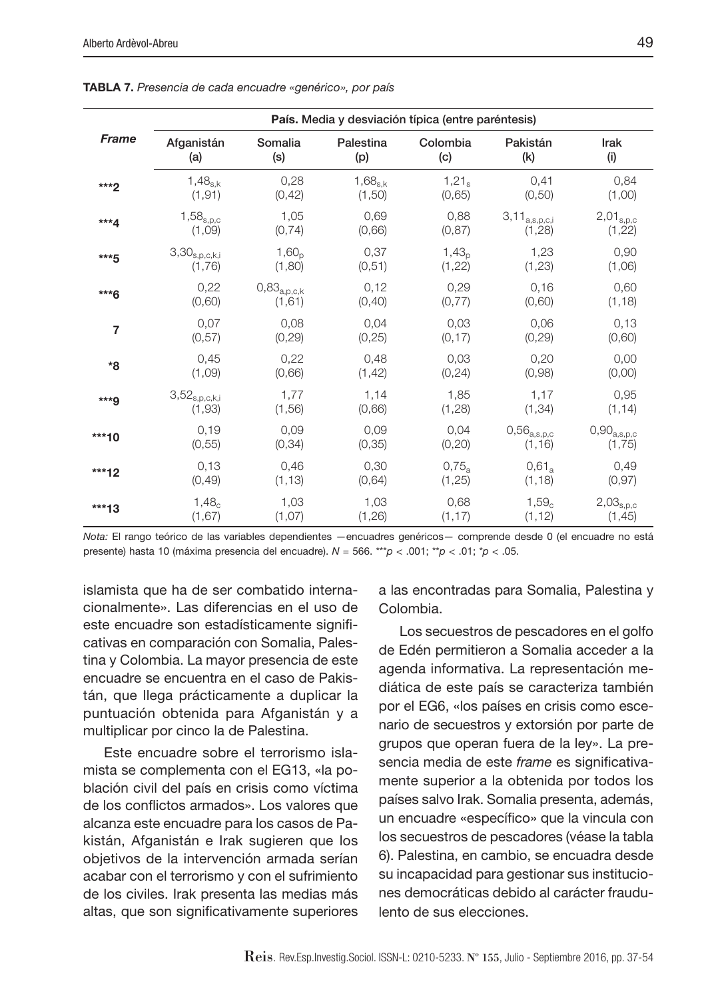|                | País. Media y desviación típica (entre paréntesis) |                        |              |                   |                        |                        |
|----------------|----------------------------------------------------|------------------------|--------------|-------------------|------------------------|------------------------|
| <b>Frame</b>   | Afganistán                                         | Somalia                | Palestina    | Colombia          | Pakistán               | Irak                   |
|                | (a)                                                | (s)                    | (p)          | (c)               | (k)                    | (i)                    |
| $***2$         | $1,48_{s,k}$                                       | 0,28                   | $1,68_{s,k}$ | $1,21_s$          | 0,41                   | 0,84                   |
|                | (1, 91)                                            | (0, 42)                | (1,50)       | (0.65)            | (0, 50)                | (1,00)                 |
| $***4$         | $1,58_{s,p,c}$                                     | 1,05                   | 0.69         | 0,88              | $3,11_{\rm a,s,p,c,i}$ | $2,01_{s,p,c}$         |
|                | (1,09)                                             | (0, 74)                | (0.66)       | (0.87)            | (1,28)                 | (1,22)                 |
| ***5           | $3,\!30_{\rm s,p,c,k,i}$                           | 1,60 <sub>n</sub>      | 0,37         | 1,43 <sub>n</sub> | 1,23                   | 0,90                   |
|                | (1,76)                                             | (1,80)                 | (0,51)       | (1, 22)           | (1, 23)                | (1,06)                 |
| ***6           | 0,22                                               | $0,\!83_{\rm a,p,c,k}$ | 0,12         | 0.29              | 0,16                   | 0,60                   |
|                | (0,60)                                             | (1,61)                 | (0, 40)      | (0,77)            | (0,60)                 | (1, 18)                |
| $\overline{7}$ | 0,07                                               | 0,08                   | 0,04         | 0,03              | 0,06                   | 0,13                   |
|                | (0.57)                                             | (0, 29)                | (0,25)       | (0, 17)           | (0, 29)                | (0,60)                 |
| *8             | 0.45                                               | 0.22                   | 0.48         | 0,03              | 0.20                   | 0,00                   |
|                | (1,09)                                             | (0,66)                 | (1, 42)      | (0, 24)           | (0,98)                 | (0,00)                 |
| ***9           | $3,52_{s,p,c,k,i}$                                 | 1,77                   | 1,14         | 1,85              | 1,17                   | 0,95                   |
|                | (1,93)                                             | (1,56)                 | (0,66)       | (1,28)            | (1, 34)                | (1, 14)                |
| $***10$        | 0,19                                               | 0,09                   | 0.09         | 0,04              | $0{,}56_{\rm a,s,p,c}$ | $0,\!90_{\rm a,s,p,c}$ |
|                | (0, 55)                                            | (0, 34)                | (0, 35)      | (0, 20)           | (1, 16)                | (1,75)                 |
| $***12$        | 0,13                                               | 0,46                   | 0,30         | 0.75a             | $0.61_a$               | 0,49                   |
|                | (0, 49)                                            | (1, 13)                | (0,64)       | (1, 25)           | (1, 18)                | (0, 97)                |
| $***13$        | $1,48_c$                                           | 1,03                   | 1,03         | 0,68              | $1,59_c$               | $2,03_{\rm s,p,c}$     |
|                | (1,67)                                             | (1,07)                 | (1,26)       | (1, 17)           | (1, 12)                | (1, 45)                |

**TABLA 7.** Presencia de cada encuadre «genérico», por país

Nota: El rango teórico de las variables dependientes —encuadres genéricos— comprende desde 0 (el encuadre no está presente) hasta 10 (máxima presencia del encuadre).  $N = 566$ . \*\*\* $p < .001$ ; \*\* $p < .01$ ; \* $p < .05$ .

islamista que ha de ser combatido internacionalmente». Las diferencias en el uso de este encuadre son estadísticamente significativas en comparación con Somalia, Palestina y Colombia. La mayor presencia de este encuadre se encuentra en el caso de Pakistán, que llega prácticamente a duplicar la puntuación obtenida para Afganistán y a multiplicar por cinco la de Palestina.

Este encuadre sobre el terrorismo islamista se complementa con el EG13, «la población civil del país en crisis como víctima de los conflictos armados». Los valores que alcanza este encuadre para los casos de Pakistán, Afganistán e Irak sugieren que los objetivos de la intervención armada serían acabar con el terrorismo y con el sufrimiento de los civiles. Irak presenta las medias más altas, que son significativamente superiores

a las encontradas para Somalia, Palestina y Colombia.

Los secuestros de pescadores en el golfo de Edén permitieron a Somalia acceder a la agenda informativa. La representación mediática de este país se caracteriza también por el EG6, «los países en crisis como escenario de secuestros y extorsión por parte de grupos que operan fuera de la ley». La presencia media de este frame es significativamente superior a la obtenida por todos los países salvo Irak. Somalia presenta, además, un encuadre «específico» que la vincula con los secuestros de pescadores (véase la tabla 6). Palestina, en cambio, se encuadra desde su incapacidad para gestionar sus instituciones democráticas debido al carácter fraudulento de sus elecciones.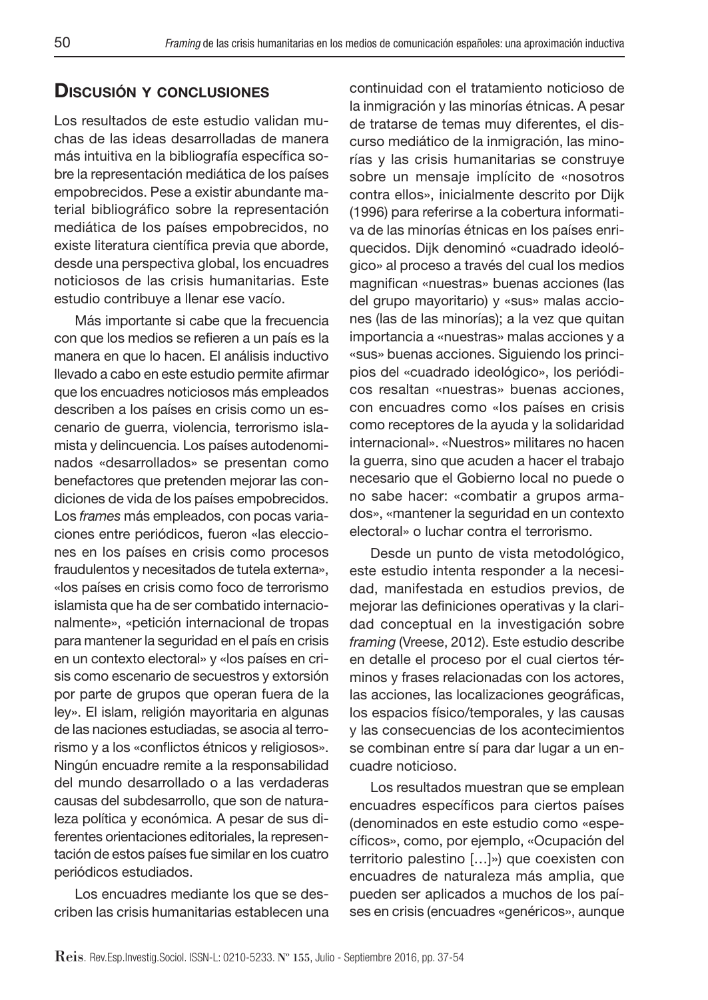# **DISCUSIÓN Y CONCLUSIONES**

Los resultados de este estudio validan muchas de las ideas desarrolladas de manera más intuitiva en la bibliografía específica sobre la representación mediática de los países empobrecidos. Pese a existir abundante material bibliográfico sobre la representación mediática de los países empobrecidos, no existe literatura científica previa que aborde, desde una perspectiva global, los encuadres noticiosos de las crisis humanitarias. Este estudio contribuye a llenar ese vacío.

Más importante si cabe que la frecuencia con que los medios se refieren a un país es la manera en que lo hacen. El análisis inductivo llevado a cabo en este estudio permite afirmar que los encuadres noticiosos más empleados describen a los países en crisis como un escenario de guerra, violencia, terrorismo islamista y delincuencia. Los países autodenominados «desarrollados» se presentan como benefactores que pretenden mejorar las condiciones de vida de los países empobrecidos. Los frames más empleados, con pocas variaciones entre periódicos, fueron «las elecciones en los países en crisis como procesos fraudulentos y necesitados de tutela externa», «los países en crisis como foco de terrorismo islamista que ha de ser combatido internacionalmente», «petición internacional de tropas para mantener la seguridad en el país en crisis en un contexto electoral» y «los países en crisis como escenario de secuestros y extorsión por parte de grupos que operan fuera de la ley». El islam, religión mayoritaria en algunas de las naciones estudiadas, se asocia al terrorismo y a los «conflictos étnicos y religiosos». Ningún encuadre remite a la responsabilidad del mundo desarrollado o a las verdaderas causas del subdesarrollo, que son de naturaleza política y económica. A pesar de sus diferentes orientaciones editoriales, la representación de estos países fue similar en los cuatro periódicos estudiados.

Los encuadres mediante los que se describen las crisis humanitarias establecen una continuidad con el tratamiento noticioso de la inmigración y las minorías étnicas. A pesar de tratarse de temas muy diferentes, el discurso mediático de la inmigración, las minorías y las crisis humanitarias se construye sobre un mensaje implícito de «nosotros contra ellos», inicialmente descrito por Dijk (1996) para referirse a la cobertura informativa de las minorías étnicas en los países enriquecidos. Dijk denominó «cuadrado ideológico» al proceso a través del cual los medios magnifican «nuestras» buenas acciones (las del grupo mayoritario) y «sus» malas acciones (las de las minorías); a la vez que quitan importancia a «nuestras» malas acciones y a «sus» buenas acciones. Siguiendo los principios del «cuadrado ideológico», los periódicos resaltan «nuestras» buenas acciones, con encuadres como «los países en crisis como receptores de la ayuda y la solidaridad internacional». «Nuestros» militares no hacen la guerra, sino que acuden a hacer el trabajo necesario que el Gobierno local no puede o no sabe hacer: «combatir a grupos armados», «mantener la seguridad en un contexto electoral» o luchar contra el terrorismo.

Desde un punto de vista metodológico, este estudio intenta responder a la necesidad, manifestada en estudios previos, de mejorar las definiciones operativas y la claridad conceptual en la investigación sobre framing (Vreese, 2012). Este estudio describe en detalle el proceso por el cual ciertos términos y frases relacionadas con los actores, las acciones, las localizaciones geográficas, los espacios físico/temporales, y las causas y las consecuencias de los acontecimientos se combinan entre sí para dar lugar a un encuadre noticioso.

Los resultados muestran que se emplean encuadres específicos para ciertos países (denominados en este estudio como «específicos», como, por ejemplo, «Ocupación del territorio palestino […]») que coexisten con encuadres de naturaleza más amplia, que pueden ser aplicados a muchos de los países en crisis (encuadres «genéricos», aunque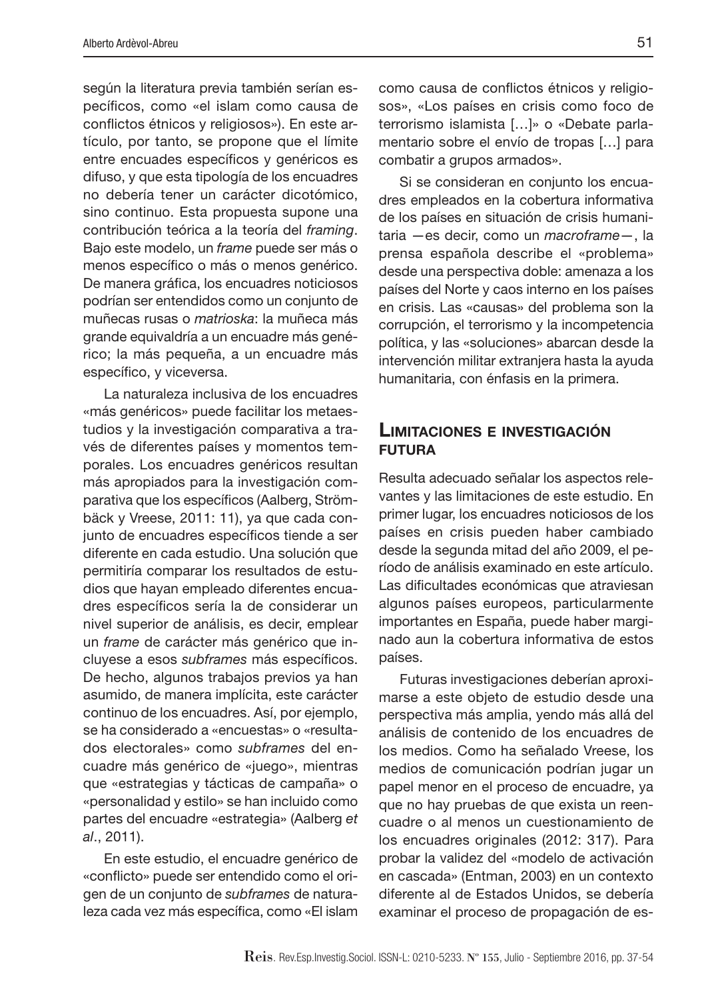según la literatura previa también serían específicos, como «el islam como causa de conflictos étnicos y religiosos»). En este artículo, por tanto, se propone que el límite entre encuades específicos y genéricos es difuso, y que esta tipología de los encuadres no debería tener un carácter dicotómico, sino continuo. Esta propuesta supone una contribución teórica a la teoría del framing. Bajo este modelo, un frame puede ser más o menos específico o más o menos genérico. De manera gráfica, los encuadres noticiosos podrían ser entendidos como un conjunto de muñecas rusas o matrioska: la muñeca más grande equivaldría a un encuadre más genérico; la más pequeña, a un encuadre más específico, y viceversa.

La naturaleza inclusiva de los encuadres «más genéricos» puede facilitar los metaestudios y la investigación comparativa a través de diferentes países y momentos temporales. Los encuadres genéricos resultan más apropiados para la investigación comparativa que los específicos (Aalberg, Strömbäck y Vreese, 2011: 11), ya que cada conjunto de encuadres específicos tiende a ser diferente en cada estudio. Una solución que permitiría comparar los resultados de estudios que hayan empleado diferentes encuadres específicos sería la de considerar un nivel superior de análisis, es decir, emplear un frame de carácter más genérico que incluyese a esos subframes más específicos. De hecho, algunos trabajos previos ya han asumido, de manera implícita, este carácter continuo de los encuadres. Así, por ejemplo, se ha considerado a «encuestas» o «resultados electorales» como subframes del encuadre más genérico de «juego», mientras que «estrategias y tácticas de campaña» o «personalidad y estilo» se han incluido como partes del encuadre «estrategia» (Aalberg et al., 2011).

En este estudio, el encuadre genérico de «conflicto» puede ser entendido como el origen de un conjunto de subframes de naturaleza cada vez más específica, como «El islam como causa de conflictos étnicos y religiosos», «Los países en crisis como foco de terrorismo islamista […]» o «Debate parlamentario sobre el envío de tropas […] para combatir a grupos armados».

Si se consideran en conjunto los encuadres empleados en la cobertura informativa de los países en situación de crisis humanitaria —es decir, como un macroframe—, la prensa española describe el «problema» desde una perspectiva doble: amenaza a los países del Norte y caos interno en los países en crisis. Las «causas» del problema son la corrupción, el terrorismo y la incompetencia política, y las «soluciones» abarcan desde la intervención militar extranjera hasta la ayuda humanitaria, con énfasis en la primera.

### **LIMITACIONES E INVESTIGACIÓN FUTURA**

Resulta adecuado señalar los aspectos relevantes y las limitaciones de este estudio. En primer lugar, los encuadres noticiosos de los países en crisis pueden haber cambiado desde la segunda mitad del año 2009, el período de análisis examinado en este artículo. Las dificultades económicas que atraviesan algunos países europeos, particularmente importantes en España, puede haber marginado aun la cobertura informativa de estos países.

Futuras investigaciones deberían aproximarse a este objeto de estudio desde una perspectiva más amplia, yendo más allá del análisis de contenido de los encuadres de los medios. Como ha señalado Vreese, los medios de comunicación podrían jugar un papel menor en el proceso de encuadre, ya que no hay pruebas de que exista un reencuadre o al menos un cuestionamiento de los encuadres originales (2012: 317). Para probar la validez del «modelo de activación en cascada» (Entman, 2003) en un contexto diferente al de Estados Unidos, se debería examinar el proceso de propagación de es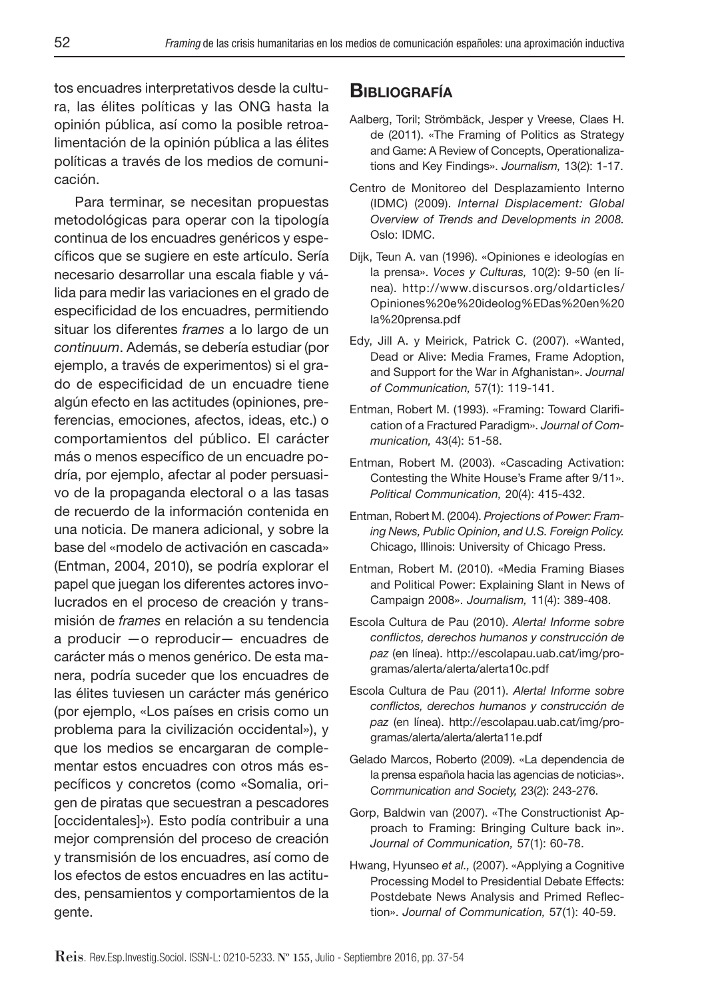tos encuadres interpretativos desde la cultura, las élites políticas y las ONG hasta la opinión pública, así como la posible retroalimentación de la opinión pública a las élites políticas a través de los medios de comunicación.

Para terminar, se necesitan propuestas metodológicas para operar con la tipología continua de los encuadres genéricos y específicos que se sugiere en este artículo. Sería necesario desarrollar una escala fiable y válida para medir las variaciones en el grado de especificidad de los encuadres, permitiendo situar los diferentes *frames* a lo largo de un continuum. Además, se debería estudiar (por ejemplo, a través de experimentos) si el grado de especificidad de un encuadre tiene algún efecto en las actitudes (opiniones, preferencias, emociones, afectos, ideas, etc.) o comportamientos del público. El carácter más o menos específico de un encuadre podría, por ejemplo, afectar al poder persuasivo de la propaganda electoral o a las tasas de recuerdo de la información contenida en una noticia. De manera adicional, y sobre la base del «modelo de activación en cascada» (Entman, 2004, 2010), se podría explorar el papel que juegan los diferentes actores involucrados en el proceso de creación y transmisión de frames en relación a su tendencia a producir —o reproducir— encuadres de carácter más o menos genérico. De esta manera, podría suceder que los encuadres de las élites tuviesen un carácter más genérico (por ejemplo, «Los países en crisis como un problema para la civilización occidental»), y que los medios se encargaran de complementar estos encuadres con otros más específicos y concretos (como «Somalia, origen de piratas que secuestran a pescadores [occidentales]»). Esto podía contribuir a una mejor comprensión del proceso de creación y transmisión de los encuadres, así como de los efectos de estos encuadres en las actitudes, pensamientos y comportamientos de la gente.

### **BIBLIOGRAFÍA**

- Aalberg, Toril; Strömbäck, Jesper y Vreese, Claes H. de (2011). «The Framing of Politics as Strategy and Game: A Review of Concepts, Operationalizations and Key Findings». Journalism, 13(2): 1-17.
- Centro de Monitoreo del Desplazamiento Interno (IDMC) (2009). Internal Displacement: Global Overview of Trends and Developments in 2008. Oslo: IDMC.
- Dijk, Teun A. van (1996). «Opiniones e ideologías en la prensa». Voces y Culturas, 10(2): 9-50 (en línea). http://www.discursos.org/oldarticles/ Opiniones%20e%20ideolog%EDas%20en%20 la%20prensa.pdf
- Edy, Jill A. y Meirick, Patrick C. (2007). «Wanted, Dead or Alive: Media Frames, Frame Adoption, and Support for the War in Afghanistan». Journal of Communication, 57(1): 119-141.
- Entman, Robert M. (1993). «Framing: Toward Clarification of a Fractured Paradigm». Journal of Communication, 43(4): 51-58.
- Entman, Robert M. (2003). «Cascading Activation: Contesting the White House's Frame after 9/11». Political Communication, 20(4): 415-432.
- Entman, Robert M. (2004). Projections of Power: Framing News, Public Opinion, and U.S. Foreign Policy. Chicago, Illinois: University of Chicago Press.
- Entman, Robert M. (2010). «Media Framing Biases and Political Power: Explaining Slant in News of Campaign 2008». Journalism, 11(4): 389-408.
- Escola Cultura de Pau (2010). Alerta! Informe sobre conflictos, derechos humanos y construcción de paz (en línea). http://escolapau.uab.cat/img/programas/alerta/alerta/alerta10c.pdf
- Escola Cultura de Pau (2011). Alerta! Informe sobre conflictos, derechos humanos y construcción de paz (en línea). http://escolapau.uab.cat/img/programas/alerta/alerta/alerta11e.pdf
- Gelado Marcos, Roberto (2009). «La dependencia de la prensa española hacia las agencias de noticias». Communication and Society, 23(2): 243-276.
- Gorp, Baldwin van (2007). «The Constructionist Approach to Framing: Bringing Culture back in». Journal of Communication, 57(1): 60-78.
- Hwang, Hyunseo et al., (2007). «Applying a Cognitive Processing Model to Presidential Debate Effects: Postdebate News Analysis and Primed Reflection». Journal of Communication, 57(1): 40-59.